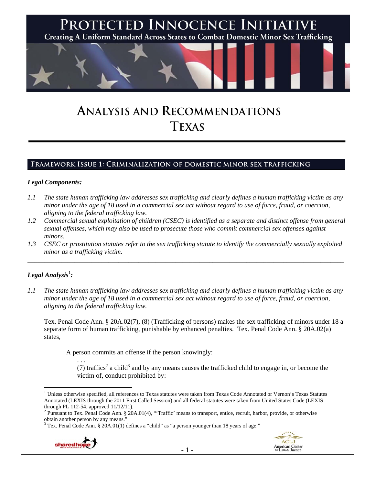

# **ANALYSIS AND RECOMMENDATIONS TEXAS**

## **Framework Issue 1: Criminalization of domestic minor sex trafficking**

### *Legal Components:*

- *1.1 The state human trafficking law addresses sex trafficking and clearly defines a human trafficking victim as any minor under the age of 18 used in a commercial sex act without regard to use of force, fraud, or coercion, aligning to the federal trafficking law.*
- *1.2 Commercial sexual exploitation of children (CSEC) is identified as a separate and distinct offense from general sexual offenses, which may also be used to prosecute those who commit commercial sex offenses against minors.*
- *1.3 CSEC or prostitution statutes refer to the sex trafficking statute to identify the commercially sexually exploited minor as a trafficking victim.*  \_\_\_\_\_\_\_\_\_\_\_\_\_\_\_\_\_\_\_\_\_\_\_\_\_\_\_\_\_\_\_\_\_\_\_\_\_\_\_\_\_\_\_\_\_\_\_\_\_\_\_\_\_\_\_\_\_\_\_\_\_\_\_\_\_\_\_\_\_\_\_\_\_\_\_\_\_\_\_\_\_\_\_\_\_\_\_\_\_\_\_\_\_\_

# $\bm{L}$ egal Analysis $^{\rm l}$ :

*1.1 The state human trafficking law addresses sex trafficking and clearly defines a human trafficking victim as any minor under the age of 18 used in a commercial sex act without regard to use of force, fraud, or coercion, aligning to the federal trafficking law.* 

Tex. Penal Code Ann. § 20A.02(7), (8) (Trafficking of persons) makes the sex trafficking of minors under 18 a separate form of human trafficking, punishable by enhanced penalties. Tex. Penal Code Ann. § 20A.02(a) states,

A person commits an offense if the person knowingly:

(7) traffics<sup>2</sup> a child<sup>3</sup> and by any means causes the trafficked child to engage in, or become the victim of, conduct prohibited by:

 $3$  Tex. Penal Code Ann. § 20A.01(1) defines a "child" as "a person younger than 18 years of age."



. . .



 $\overline{a}$ <sup>1</sup> Unless otherwise specified, all references to Texas statutes were taken from Texas Code Annotated or Vernon's Texas Statutes Annotated (LEXIS through the 2011 First Called Session) and all federal statutes were taken from United States Code (LEXIS through PL 112-54, approved 11/12/11).

<sup>&</sup>lt;sup>2</sup> Pursuant to Tex. Penal Code Ann. § 20A.01(4), "Traffic' means to transport, entice, recruit, harbor, provide, or otherwise obtain another person by any means."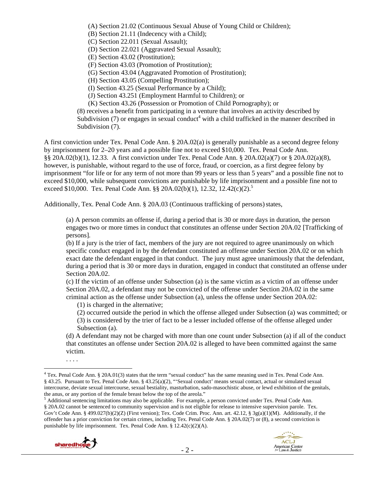(A) Section 21.02 (Continuous Sexual Abuse of Young Child or Children); (B) Section 21.11 (Indecency with a Child); (C) Section 22.011 (Sexual Assault); (D) Section 22.021 (Aggravated Sexual Assault); (E) Section 43.02 (Prostitution); (F) Section 43.03 (Promotion of Prostitution); (G) Section 43.04 (Aggravated Promotion of Prostitution); (H) Section 43.05 (Compelling Prostitution); (I) Section 43.25 (Sexual Performance by a Child); (J) Section 43.251 (Employment Harmful to Children); or (K) Section 43.26 (Possession or Promotion of Child Pornography); or (8) receives a benefit from participating in a venture that involves an activity described by Subdivision  $(7)$  or engages in sexual conduct<sup>4</sup> with a child trafficked in the manner described in Subdivision (7).

A first conviction under Tex. Penal Code Ann. § 20A.02(a) is generally punishable as a second degree felony by imprisonment for 2–20 years and a possible fine not to exceed \$10,000. Tex. Penal Code Ann. §§ 20A.02(b)(1), 12.33. A first conviction under Tex. Penal Code Ann. § 20A.02(a)(7) or § 20A.02(a)(8), however, is punishable, without regard to the use of force, fraud, or coercion, as a first degree felony by imprisonment "for life or for any term of not more than 99 years or less than 5 years" and a possible fine not to exceed \$10,000, while subsequent convictions are punishable by life imprisonment and a possible fine not to exceed \$10,000. Tex. Penal Code Ann. §§ 20A.02(b)(1), 12.32, 12.42(c)(2).<sup>5</sup>

Additionally, Tex. Penal Code Ann. § 20A.03 (Continuous trafficking of persons) states,

(a) A person commits an offense if, during a period that is 30 or more days in duration, the person engages two or more times in conduct that constitutes an offense under Section 20A.02 [Trafficking of persons].

(b) If a jury is the trier of fact, members of the jury are not required to agree unanimously on which specific conduct engaged in by the defendant constituted an offense under Section 20A.02 or on which exact date the defendant engaged in that conduct. The jury must agree unanimously that the defendant, during a period that is 30 or more days in duration, engaged in conduct that constituted an offense under Section 20A.02.

(c) If the victim of an offense under Subsection (a) is the same victim as a victim of an offense under Section 20A.02, a defendant may not be convicted of the offense under Section 20A.02 in the same criminal action as the offense under Subsection (a), unless the offense under Section 20A.02:

(1) is charged in the alternative;

(2) occurred outside the period in which the offense alleged under Subsection (a) was committed; or (3) is considered by the trier of fact to be a lesser included offense of the offense alleged under Subsection (a).

(d) A defendant may not be charged with more than one count under Subsection (a) if all of the conduct that constitutes an offense under Section 20A.02 is alleged to have been committed against the same victim.

<sup>&</sup>lt;sup>5</sup> Additional sentencing limitations may also be applicable. For example, a person convicted under Tex. Penal Code Ann. § 20A.02 cannot be sentenced to community supervision and is not eligible for release to intensive supervision parole. Tex. Gov't Code Ann. § 499.027(b)(2)(Z) (First version); Tex. Code Crim. Proc. Ann. art. 42.12, § 3g(a)(1)(M). Additionally, if the offender has a prior conviction for certain crimes, including Tex. Penal Code Ann. § 20A.02(7) or (8), a second conviction is punishable by life imprisonment. Tex. Penal Code Ann. § 12.42(c)(2)(A).





<sup>. . . .</sup> 

<sup>&</sup>lt;sup>4</sup> Tex. Penal Code Ann. § 20A.01(3) states that the term "sexual conduct" has the same meaning used in Tex. Penal Code Ann. § 43.25. Pursuant to Tex. Penal Code Ann. § 43.25(a)(2), "'Sexual conduct' means sexual contact, actual or simulated sexual intercourse, deviate sexual intercourse, sexual bestiality, masturbation, sado-masochistic abuse, or lewd exhibition of the genitals, the anus, or any portion of the female breast below the top of the areola."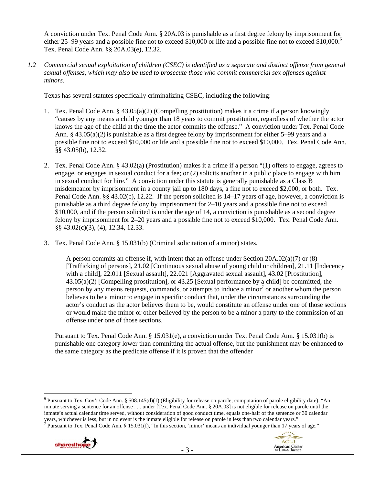A conviction under Tex. Penal Code Ann. § 20A.03 is punishable as a first degree felony by imprisonment for either 25–99 years and a possible fine not to exceed \$10,000 or life and a possible fine not to exceed \$10,000.<sup>6</sup> Tex. Penal Code Ann. §§ 20A.03(e), 12.32.

*1.2 Commercial sexual exploitation of children (CSEC) is identified as a separate and distinct offense from general sexual offenses, which may also be used to prosecute those who commit commercial sex offenses against minors.* 

Texas has several statutes specifically criminalizing CSEC, including the following:

- 1. Tex. Penal Code Ann. § 43.05(a)(2) (Compelling prostitution) makes it a crime if a person knowingly "causes by any means a child younger than 18 years to commit prostitution, regardless of whether the actor knows the age of the child at the time the actor commits the offense." A conviction under Tex. Penal Code Ann. §  $43.05(a)(2)$  is punishable as a first degree felony by imprisonment for either  $5-99$  years and a possible fine not to exceed \$10,000 or life and a possible fine not to exceed \$10,000. Tex. Penal Code Ann. §§ 43.05(b), 12.32.
- 2. Tex. Penal Code Ann. § 43.02(a) (Prostitution) makes it a crime if a person "(1) offers to engage, agrees to engage, or engages in sexual conduct for a fee; or (2) solicits another in a public place to engage with him in sexual conduct for hire." A conviction under this statute is generally punishable as a Class B misdemeanor by imprisonment in a county jail up to 180 days, a fine not to exceed \$2,000, or both. Tex. Penal Code Ann. §§ 43.02(c), 12.22. If the person solicited is 14–17 years of age, however, a conviction is punishable as a third degree felony by imprisonment for 2–10 years and a possible fine not to exceed \$10,000, and if the person solicited is under the age of 14, a conviction is punishable as a second degree felony by imprisonment for 2–20 years and a possible fine not to exceed \$10,000. Tex. Penal Code Ann. §§ 43.02(c)(3), (4), 12.34, 12.33.
- 3. Tex. Penal Code Ann. § 15.031(b) (Criminal solicitation of a minor) states,

A person commits an offense if, with intent that an offense under Section 20A.02(a)(7) or (8) [Trafficking of persons], 21.02 [Continuous sexual abuse of young child or children], 21.11 [Indecency with a child], 22.011 [Sexual assault], 22.021 [Aggravated sexual assault], 43.02 [Prostitution], 43.05(a)(2) [Compelling prostitution], or 43.25 [Sexual performance by a child] be committed, the person by any means requests, commands, or attempts to induce a minor<sup>7</sup> or another whom the person believes to be a minor to engage in specific conduct that, under the circumstances surrounding the actor's conduct as the actor believes them to be, would constitute an offense under one of those sections or would make the minor or other believed by the person to be a minor a party to the commission of an offense under one of those sections.

Pursuant to Tex. Penal Code Ann. § 15.031(e), a conviction under Tex. Penal Code Ann. § 15.031(b) is punishable one category lower than committing the actual offense, but the punishment may be enhanced to the same category as the predicate offense if it is proven that the offender

<sup>&</sup>lt;sup>7</sup> Pursuant to Tex. Penal Code Ann. § 15.031(f), "In this section, 'minor' means an individual younger than 17 years of age."





 $\overline{a}$ <sup>6</sup> Pursuant to Tex. Gov't Code Ann. § 508.145(d)(1) (Eligibility for release on parole; computation of parole eligibility date), "An inmate serving a sentence for an offense . . . under [Tex. Penal Code Ann. § 20A.03] is not eligible for release on parole until the inmate's actual calendar time served, without consideration of good conduct time, equals one-half of the sentence or 30 calendar years, whichever is less, but in no event is the inmate eligible for release on parole in less than two calendar years." 7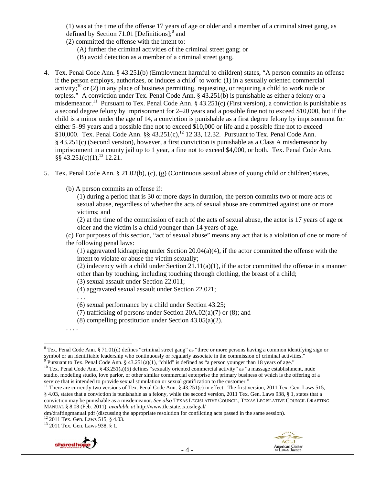(1) was at the time of the offense 17 years of age or older and a member of a criminal street gang, as defined by Section 71.01 [Definitions]; $^8$  and

- (2) committed the offense with the intent to:
	- (A) further the criminal activities of the criminal street gang; or
	- (B) avoid detection as a member of a criminal street gang.
- 4. Tex. Penal Code Ann. § 43.251(b) (Employment harmful to children) states, "A person commits an offense if the person employs, authorizes, or induces a child $^9$  to work: (1) in a sexually oriented commercial activity;<sup>10</sup> or (2) in any place of business permitting, requesting, or requiring a child to work nude or topless." A conviction under Tex. Penal Code Ann. § 43.251(b) is punishable as either a felony or a misdemeanor.<sup>11</sup> Pursuant to Tex. Penal Code Ann. § 43.251(c) (First version), a conviction is punishable as a second degree felony by imprisonment for 2–20 years and a possible fine not to exceed \$10,000, but if the child is a minor under the age of 14, a conviction is punishable as a first degree felony by imprisonment for either 5–99 years and a possible fine not to exceed \$10,000 or life and a possible fine not to exceed \$10,000. Tex. Penal Code Ann. §§  $43.251(c)$ ,<sup>12</sup> 12.33, 12.32. Pursuant to Tex. Penal Code Ann. § 43.251(c) (Second version), however, a first conviction is punishable as a Class A misdemeanor by imprisonment in a county jail up to 1 year, a fine not to exceed \$4,000, or both. Tex. Penal Code Ann.  $\S$ § 43.251(c)(1),<sup>13</sup> 12.21.
- 5. Tex. Penal Code Ann. § 21.02(b), (c), (g) (Continuous sexual abuse of young child or children) states,
	- (b) A person commits an offense if:

(1) during a period that is 30 or more days in duration, the person commits two or more acts of sexual abuse, regardless of whether the acts of sexual abuse are committed against one or more victims; and

(2) at the time of the commission of each of the acts of sexual abuse, the actor is 17 years of age or older and the victim is a child younger than 14 years of age.

(c) For purposes of this section, "act of sexual abuse" means any act that is a violation of one or more of the following penal laws:

(1) aggravated kidnapping under Section  $20.04(a)(4)$ , if the actor committed the offense with the intent to violate or abuse the victim sexually;

(2) indecency with a child under Section  $21.11(a)(1)$ , if the actor committed the offense in a manner other than by touching, including touching through clothing, the breast of a child;

(3) sexual assault under Section 22.011;

(4) aggravated sexual assault under Section 22.021;

. . .

(6) sexual performance by a child under Section 43.25;

- (7) trafficking of persons under Section  $20A.02(a)(7)$  or (8); and
- (8) compelling prostitution under Section 43.05(a)(2).

. . . .

<sup>13 2011</sup> Tex. Gen. Laws 938, § 1.





<sup>&</sup>lt;sup>8</sup> Tex. Penal Code Ann. § 71.01(d) defines "criminal street gang" as "three or more persons having a common identifying sign or symbol or an identifiable leadership who continuously or regularly associate in the commission of criminal activities."<br><sup>9</sup> Pursuant to Tex. Penal Code Ann. § 43.251(a)(1), "child" is defined as "a person younger than 18

 $^{10}$  Tex. Penal Code Ann. § 43.251(a)(5) defines "sexually oriented commercial activity" as "a massage establishment, nude studio, modeling studio, love parlor, or other similar commercial enterprise the primary business of which is the offering of a service that is intended to provide sexual stimulation or sexual gratification to the customer."

<sup>&</sup>lt;sup>11</sup> There are currently two versions of Tex. Penal Code Ann. §  $\overline{43.251(c)}$  in effect. The first version, 2011 Tex. Gen. Laws 515, § 4.03, states that a conviction is punishable as a felony, while the second version, 2011 Tex. Gen. Laws 938, § 1, states that a conviction may be punishable as a misdemeanor. *See also* TEXAS LEGISLATIVE COUNCIL, TEXAS LEGISLATIVE COUNCIL DRAFTING MANUAL § 8.08 (Feb. 2011), *available at* http://www.tlc.state.tx.us/legal/

dm/draftingmanual.pdf (discussing the appropriate resolution for conflicting acts passed in the same session). <sup>12</sup> 2011 Tex. Gen. Laws 515, § 4.03.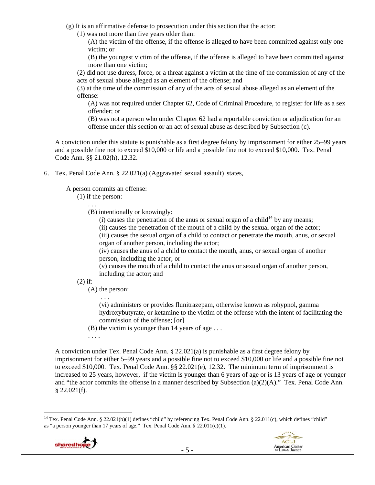- (g) It is an affirmative defense to prosecution under this section that the actor:
	- (1) was not more than five years older than:

(A) the victim of the offense, if the offense is alleged to have been committed against only one victim; or

(B) the youngest victim of the offense, if the offense is alleged to have been committed against more than one victim;

(2) did not use duress, force, or a threat against a victim at the time of the commission of any of the acts of sexual abuse alleged as an element of the offense; and

(3) at the time of the commission of any of the acts of sexual abuse alleged as an element of the offense:

(A) was not required under Chapter 62, Code of Criminal Procedure, to register for life as a sex offender; or

(B) was not a person who under Chapter 62 had a reportable conviction or adjudication for an offense under this section or an act of sexual abuse as described by Subsection (c).

A conviction under this statute is punishable as a first degree felony by imprisonment for either 25–99 years and a possible fine not to exceed \$10,000 or life and a possible fine not to exceed \$10,000. Tex. Penal Code Ann. §§ 21.02(h), 12.32.

6. Tex. Penal Code Ann. § 22.021(a) (Aggravated sexual assault) states,

A person commits an offense:

(1) if the person:

. . .

(B) intentionally or knowingly:

(i) causes the penetration of the anus or sexual organ of a child<sup>14</sup> by any means;

(ii) causes the penetration of the mouth of a child by the sexual organ of the actor;

(iii) causes the sexual organ of a child to contact or penetrate the mouth, anus, or sexual organ of another person, including the actor;

(iv) causes the anus of a child to contact the mouth, anus, or sexual organ of another person, including the actor; or

(v) causes the mouth of a child to contact the anus or sexual organ of another person, including the actor; and

# (2) if:

(A) the person:

. . .

(vi) administers or provides flunitrazepam, otherwise known as rohypnol, gamma hydroxybutyrate, or ketamine to the victim of the offense with the intent of facilitating the commission of the offense; [or]

(B) the victim is younger than 14 years of age . . .

. . . .

A conviction under Tex. Penal Code Ann. § 22.021(a) is punishable as a first degree felony by imprisonment for either 5–99 years and a possible fine not to exceed \$10,000 or life and a possible fine not to exceed \$10,000. Tex. Penal Code Ann. §§ 22.021(e), 12.32. The minimum term of imprisonment is increased to 25 years, however, if the victim is younger than 6 years of age or is 13 years of age or younger and "the actor commits the offense in a manner described by Subsection (a)(2)(A)." Tex. Penal Code Ann.  $$22.021(f).$ 

<sup>&</sup>lt;sup>14</sup> Tex. Penal Code Ann. § 22.021(b)(1) defines "child" by referencing Tex. Penal Code Ann. § 22.011(c), which defines "child" as "a person younger than 17 years of age." Tex. Penal Code Ann. § 22.011(c)(1).

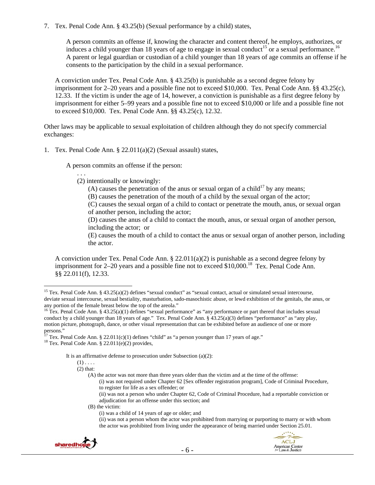7. Tex. Penal Code Ann. § 43.25(b) (Sexual performance by a child) states,

A person commits an offense if, knowing the character and content thereof, he employs, authorizes, or induces a child younger than 18 years of age to engage in sexual conduct<sup>15</sup> or a sexual performance.<sup>16</sup> A parent or legal guardian or custodian of a child younger than 18 years of age commits an offense if he consents to the participation by the child in a sexual performance.

A conviction under Tex. Penal Code Ann. § 43.25(b) is punishable as a second degree felony by imprisonment for 2–20 years and a possible fine not to exceed \$10,000. Tex. Penal Code Ann. §§ 43.25(c), 12.33. If the victim is under the age of 14, however, a conviction is punishable as a first degree felony by imprisonment for either 5–99 years and a possible fine not to exceed \$10,000 or life and a possible fine not to exceed \$10,000. Tex. Penal Code Ann. §§ 43.25(c), 12.32.

Other laws may be applicable to sexual exploitation of children although they do not specify commercial exchanges:

1. Tex. Penal Code Ann. § 22.011(a)(2) (Sexual assault) states,

A person commits an offense if the person:

. . .

(2) intentionally or knowingly:

(A) causes the penetration of the anus or sexual organ of a child<sup>17</sup> by any means;

(B) causes the penetration of the mouth of a child by the sexual organ of the actor;

(C) causes the sexual organ of a child to contact or penetrate the mouth, anus, or sexual organ of another person, including the actor;

(D) causes the anus of a child to contact the mouth, anus, or sexual organ of another person, including the actor; or

(E) causes the mouth of a child to contact the anus or sexual organ of another person, including the actor.

A conviction under Tex. Penal Code Ann. § 22.011(a)(2) is punishable as a second degree felony by imprisonment for  $2-20$  years and a possible fine not to exceed \$10,000.<sup>18</sup> Tex. Penal Code Ann. §§ 22.011(f), 12.33.

It is an affirmative defense to prosecution under Subsection (a)(2):

 $\overline{a}$ 

(A) the actor was not more than three years older than the victim and at the time of the offense:

(i) was not required under Chapter 62 [Sex offender registration program], Code of Criminal Procedure, to register for life as a sex offender; or

(ii) was not a person who under Chapter 62, Code of Criminal Procedure, had a reportable conviction or adjudication for an offense under this section; and

(B) the victim:

(ii) was not a person whom the actor was prohibited from marrying or purporting to marry or with whom the actor was prohibited from living under the appearance of being married under Section 25.01.



<sup>&</sup>lt;sup>15</sup> Tex. Penal Code Ann. § 43.25(a)(2) defines "sexual conduct" as "sexual contact, actual or simulated sexual intercourse, deviate sexual intercourse, sexual bestiality, masturbation, sado-masochistic abuse, or lewd exhibition of the genitals, the anus, or any portion of the female breast below the top of the areola."

<sup>&</sup>lt;sup>16</sup> Tex. Penal Code Ann. § 43.25(a)(1) defines "sexual performance" as "any performance or part thereof that includes sexual conduct by a child younger than 18 years of age." Tex. Penal Code Ann. § 43.25(a)(3) defines "performance" as "any play, motion picture, photograph, dance, or other visual representation that can be exhibited before an audience of one or more persons."

<sup>&</sup>lt;sup>17</sup> Tex. Penal Code Ann. § 22.011(c)(1) defines "child" as "a person younger than 17 years of age." <sup>18</sup> Tex. Penal Code Ann. § 22.011(e)(2) provides,

 $(1)$ ...

<sup>(2)</sup> that:

<sup>(</sup>i) was a child of 14 years of age or older; and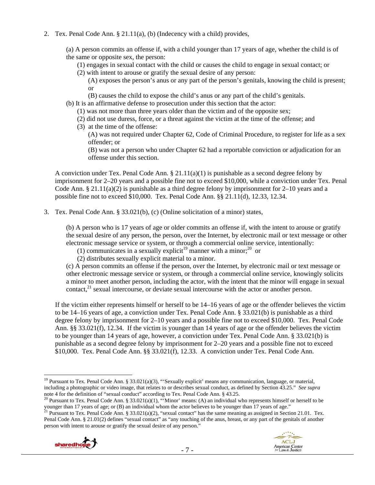2. Tex. Penal Code Ann. § 21.11(a), (b) (Indecency with a child) provides,

(a) A person commits an offense if, with a child younger than 17 years of age, whether the child is of the same or opposite sex, the person:

(1) engages in sexual contact with the child or causes the child to engage in sexual contact; or

(2) with intent to arouse or gratify the sexual desire of any person:

(A) exposes the person's anus or any part of the person's genitals, knowing the child is present; or

- (B) causes the child to expose the child's anus or any part of the child's genitals.
- (b) It is an affirmative defense to prosecution under this section that the actor:
	- (1) was not more than three years older than the victim and of the opposite sex;
	- (2) did not use duress, force, or a threat against the victim at the time of the offense; and
	- (3) at the time of the offense:
		- (A) was not required under Chapter 62, Code of Criminal Procedure, to register for life as a sex offender; or

(B) was not a person who under Chapter 62 had a reportable conviction or adjudication for an offense under this section.

A conviction under Tex. Penal Code Ann.  $\S 21.11(a)(1)$  is punishable as a second degree felony by imprisonment for 2–20 years and a possible fine not to exceed \$10,000, while a conviction under Tex. Penal Code Ann. § 21.11(a)(2) is punishable as a third degree felony by imprisonment for 2–10 years and a possible fine not to exceed \$10,000. Tex. Penal Code Ann. §§ 21.11(d), 12.33, 12.34.

3. Tex. Penal Code Ann. § 33.021(b), (c) (Online solicitation of a minor) states,

(b) A person who is 17 years of age or older commits an offense if, with the intent to arouse or gratify the sexual desire of any person, the person, over the Internet, by electronic mail or text message or other electronic message service or system, or through a commercial online service, intentionally:

- (1) communicates in a sexually explicit<sup>19</sup> manner with a minor;<sup>20</sup> or
- (2) distributes sexually explicit material to a minor.

(c) A person commits an offense if the person, over the Internet, by electronic mail or text message or other electronic message service or system, or through a commercial online service, knowingly solicits a minor to meet another person, including the actor, with the intent that the minor will engage in sexual contact, $^{21}$  sexual intercourse, or deviate sexual intercourse with the actor or another person.

If the victim either represents himself or herself to be 14–16 years of age or the offender believes the victim to be 14–16 years of age, a conviction under Tex. Penal Code Ann. § 33.021(b) is punishable as a third degree felony by imprisonment for 2–10 years and a possible fine not to exceed \$10,000. Tex. Penal Code Ann. §§ 33.021(f), 12.34. If the victim is younger than 14 years of age or the offender believes the victim to be younger than 14 years of age, however, a conviction under Tex. Penal Code Ann. § 33.021(b) is punishable as a second degree felony by imprisonment for 2–20 years and a possible fine not to exceed \$10,000. Tex. Penal Code Ann. §§ 33.021(f), 12.33. A conviction under Tex. Penal Code Ann.

Penal Code Ann. § 21.01(2) defines "sexual contact" as "any touching of the anus, breast, or any part of the genitals of another person with intent to arouse or gratify the sexual desire of any person."



 $\overline{a}$ <sup>19</sup> Pursuant to Tex. Penal Code Ann. § 33.021(a)(3), "Sexually explicit' means any communication, language, or material, including a photographic or video image, that relates to or describes sexual conduct, as defined by Section 43.25." *See supra*  note 4 for the definition of "sexual conduct" according to Tex. Penal Code Ann. § 43.25.<br><sup>20</sup> Pursuant to Tex. Penal Code Ann. § 33.021(a)(1), "'Minor' means: (A) an individual who represents himself or herself to be

younger than 17 years of age; or (B) an individual whom the actor believes to be younger than 17 years of age."<br><sup>21</sup> Pursuant to Tex. Penal Code Ann. § 33.021(a)(2), "sexual contact" has the same meaning as assigned in Se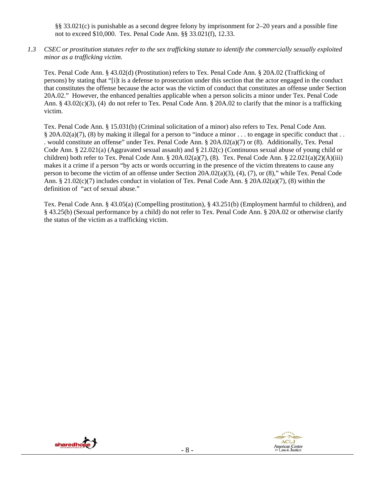§§ 33.021(c) is punishable as a second degree felony by imprisonment for 2–20 years and a possible fine not to exceed \$10,000. Tex. Penal Code Ann. §§ 33.021(f), 12.33.

*1.3 CSEC or prostitution statutes refer to the sex trafficking statute to identify the commercially sexually exploited minor as a trafficking victim.* 

Tex. Penal Code Ann. § 43.02(d) (Prostitution) refers to Tex. Penal Code Ann. § 20A.02 (Trafficking of persons) by stating that "[i]t is a defense to prosecution under this section that the actor engaged in the conduct that constitutes the offense because the actor was the victim of conduct that constitutes an offense under Section 20A.02." However, the enhanced penalties applicable when a person solicits a minor under Tex. Penal Code Ann. § 43.02(c)(3), (4) do not refer to Tex. Penal Code Ann. § 20A.02 to clarify that the minor is a trafficking victim.

Tex. Penal Code Ann. § 15.031(b) (Criminal solicitation of a minor) also refers to Tex. Penal Code Ann. § 20A.02(a)(7), (8) by making it illegal for a person to "induce a minor . . . to engage in specific conduct that . . . would constitute an offense" under Tex. Penal Code Ann. § 20A.02(a)(7) or (8). Additionally, Tex. Penal Code Ann. § 22.021(a) (Aggravated sexual assault) and § 21.02(c) (Continuous sexual abuse of young child or children) both refer to Tex. Penal Code Ann. §  $20A.02(a)(7)$ , (8). Tex. Penal Code Ann. §  $22.021(a)(2)(A)(iii)$ makes it a crime if a person "by acts or words occurring in the presence of the victim threatens to cause any person to become the victim of an offense under Section 20A.02(a)(3), (4), (7), or (8)," while Tex. Penal Code Ann. § 21.02(c)(7) includes conduct in violation of Tex. Penal Code Ann. § 20A.02(a)(7), (8) within the definition of "act of sexual abuse."

Tex. Penal Code Ann. § 43.05(a) (Compelling prostitution), § 43.251(b) (Employment harmful to children), and § 43.25(b) (Sexual performance by a child) do not refer to Tex. Penal Code Ann. § 20A.02 or otherwise clarify the status of the victim as a trafficking victim.



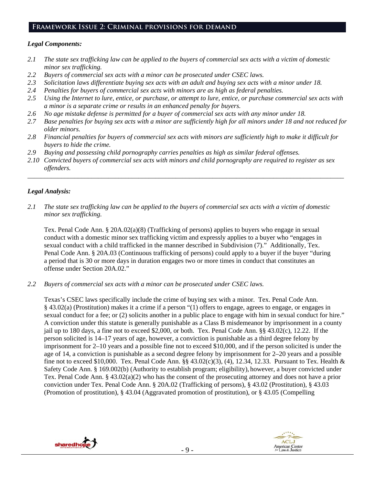# **Framework Issue 2: Criminal provisions for demand**

## *Legal Components:*

- *2.1 The state sex trafficking law can be applied to the buyers of commercial sex acts with a victim of domestic minor sex trafficking.*
- *2.2 Buyers of commercial sex acts with a minor can be prosecuted under CSEC laws.*
- *2.3 Solicitation laws differentiate buying sex acts with an adult and buying sex acts with a minor under 18.*
- *2.4 Penalties for buyers of commercial sex acts with minors are as high as federal penalties.*
- *2.5 Using the Internet to lure, entice, or purchase, or attempt to lure, entice, or purchase commercial sex acts with a minor is a separate crime or results in an enhanced penalty for buyers.*
- *2.6 No age mistake defense is permitted for a buyer of commercial sex acts with any minor under 18.*
- 2.7 Base penalties for buying sex acts with a minor are sufficiently high for all minors under 18 and not reduced for *older minors.*
- *2.8 Financial penalties for buyers of commercial sex acts with minors are sufficiently high to make it difficult for buyers to hide the crime.*
- *2.9 Buying and possessing child pornography carries penalties as high as similar federal offenses.*
- *2.10 Convicted buyers of commercial sex acts with minors and child pornography are required to register as sex offenders.*

\_\_\_\_\_\_\_\_\_\_\_\_\_\_\_\_\_\_\_\_\_\_\_\_\_\_\_\_\_\_\_\_\_\_\_\_\_\_\_\_\_\_\_\_\_\_\_\_\_\_\_\_\_\_\_\_\_\_\_\_\_\_\_\_\_\_\_\_\_\_\_\_\_\_\_\_\_\_\_\_\_\_\_\_\_\_\_\_\_\_\_\_\_\_

## *Legal Analysis:*

*2.1 The state sex trafficking law can be applied to the buyers of commercial sex acts with a victim of domestic minor sex trafficking.* 

Tex. Penal Code Ann. § 20A.02(a)(8) (Trafficking of persons) applies to buyers who engage in sexual conduct with a domestic minor sex trafficking victim and expressly applies to a buyer who "engages in sexual conduct with a child trafficked in the manner described in Subdivision (7)." Additionally, Tex. Penal Code Ann. § 20A.03 (Continuous trafficking of persons) could apply to a buyer if the buyer "during a period that is 30 or more days in duration engages two or more times in conduct that constitutes an offense under Section 20A.02."

*2.2 Buyers of commercial sex acts with a minor can be prosecuted under CSEC laws.* 

Texas's CSEC laws specifically include the crime of buying sex with a minor. Tex. Penal Code Ann. § 43.02(a) (Prostitution) makes it a crime if a person "(1) offers to engage, agrees to engage, or engages in sexual conduct for a fee; or (2) solicits another in a public place to engage with him in sexual conduct for hire." A conviction under this statute is generally punishable as a Class B misdemeanor by imprisonment in a county jail up to 180 days, a fine not to exceed \$2,000, or both. Tex. Penal Code Ann. §§ 43.02(c), 12.22. If the person solicited is 14–17 years of age, however, a conviction is punishable as a third degree felony by imprisonment for 2–10 years and a possible fine not to exceed \$10,000, and if the person solicited is under the age of 14, a conviction is punishable as a second degree felony by imprisonment for 2–20 years and a possible fine not to exceed \$10,000. Tex. Penal Code Ann. §§ 43.02(c)(3), (4), 12.34, 12.33. Pursuant to Tex. Health & Safety Code Ann. § 169.002(b) (Authority to establish program; eligibility), however, a buyer convicted under Tex. Penal Code Ann. § 43.02(a)(2) who has the consent of the prosecuting attorney and does not have a prior conviction under Tex. Penal Code Ann. § 20A.02 (Trafficking of persons), § 43.02 (Prostitution), § 43.03 (Promotion of prostitution), § 43.04 (Aggravated promotion of prostitution), or § 43.05 (Compelling



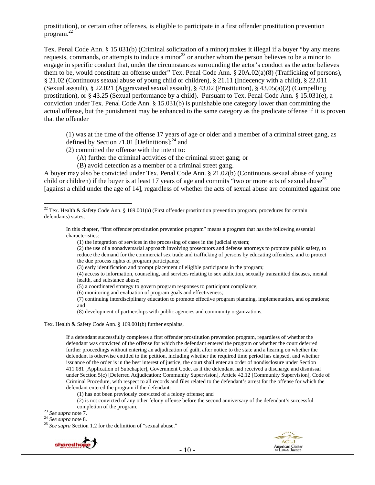prostitution), or certain other offenses, is eligible to participate in a first offender prostitution prevention program. $^{22}$ 

Tex. Penal Code Ann. § 15.031(b) (Criminal solicitation of a minor) makes it illegal if a buyer "by any means requests, commands, or attempts to induce a minor<sup>23</sup> or another whom the person believes to be a minor to engage in specific conduct that, under the circumstances surrounding the actor's conduct as the actor believes them to be, would constitute an offense under" Tex. Penal Code Ann. § 20A.02(a)(8) (Trafficking of persons), § 21.02 (Continuous sexual abuse of young child or children), § 21.11 (Indecency with a child), § 22.011 (Sexual assault), § 22.021 (Aggravated sexual assault), § 43.02 (Prostitution), § 43.05(a)(2) (Compelling prostitution), or § 43.25 (Sexual performance by a child). Pursuant to Tex. Penal Code Ann. § 15.031(e), a conviction under Tex. Penal Code Ann. § 15.031(b) is punishable one category lower than committing the actual offense, but the punishment may be enhanced to the same category as the predicate offense if it is proven that the offender

(1) was at the time of the offense 17 years of age or older and a member of a criminal street gang, as defined by Section 71.01 [Definitions]; $^{24}$  and

- (2) committed the offense with the intent to:
	- (A) further the criminal activities of the criminal street gang; or
	- (B) avoid detection as a member of a criminal street gang.

A buyer may also be convicted under Tex. Penal Code Ann. § 21.02(b) (Continuous sexual abuse of young child or children) if the buyer is at least 17 years of age and commits "two or more acts of sexual abuse<sup>25</sup> [against a child under the age of 14], regardless of whether the acts of sexual abuse are committed against one

In this chapter, "first offender prostitution prevention program" means a program that has the following essential characteristics:

(2) the use of a nonadversarial approach involving prosecutors and defense attorneys to promote public safety, to reduce the demand for the commercial sex trade and trafficking of persons by educating offenders, and to protect the due process rights of program participants;

(4) access to information, counseling, and services relating to sex addiction, sexually transmitted diseases, mental health, and substance abuse;

- (5) a coordinated strategy to govern program responses to participant compliance;
- (6) monitoring and evaluation of program goals and effectiveness;

(7) continuing interdisciplinary education to promote effective program planning, implementation, and operations; and

(8) development of partnerships with public agencies and community organizations.

Tex. Health & Safety Code Ann. § 169.001(b) further explains,

If a defendant successfully completes a first offender prostitution prevention program, regardless of whether the defendant was convicted of the offense for which the defendant entered the program or whether the court deferred further proceedings without entering an adjudication of guilt, after notice to the state and a hearing on whether the defendant is otherwise entitled to the petition, including whether the required time period has elapsed, and whether issuance of the order is in the best interest of justice, the court shall enter an order of nondisclosure under Section 411.081 [Application of Subchapter], Government Code, as if the defendant had received a discharge and dismissal under Section 5(c) [Deferred Adjudication; Community Supervision], Article 42.12 [Community Supervision], Code of Criminal Procedure, with respect to all records and files related to the defendant's arrest for the offense for which the defendant entered the program if the defendant:

(1) has not been previously convicted of a felony offense; and

(2) is not convicted of any other felony offense before the second anniversary of the defendant's successful

 $\overline{a}$ 

completion of the program.<br><sup>23</sup> *See supra* note 7.<br><sup>24</sup> *See supra* note 8.<br><sup>25</sup> *See supra* Section 1.2 for the definition of "sexual abuse."





<sup>&</sup>lt;sup>22</sup> Tex. Health & Safety Code Ann. § 169.001(a) (First offender prostitution prevention program; procedures for certain defendants) states,

<sup>(1)</sup> the integration of services in the processing of cases in the judicial system;

<sup>(3)</sup> early identification and prompt placement of eligible participants in the program;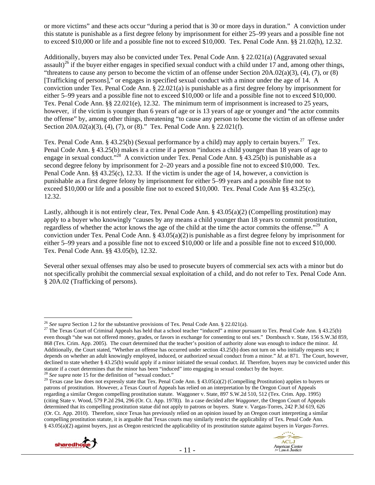or more victims" and these acts occur "during a period that is 30 or more days in duration." A conviction under this statute is punishable as a first degree felony by imprisonment for either 25–99 years and a possible fine not to exceed \$10,000 or life and a possible fine not to exceed \$10,000. Tex. Penal Code Ann. §§ 21.02(h), 12.32.

Additionally, buyers may also be convicted under Tex. Penal Code Ann. § 22.021(a) (Aggravated sexual assault)<sup>26</sup> if the buyer either engages in specified sexual conduct with a child under 17 and, among other things, "threatens to cause any person to become the victim of an offense under Section  $20A.02(a)(3)$ ,  $(4)$ ,  $(7)$ , or  $(8)$ [Trafficking of persons]," or engages in specified sexual conduct with a minor under the age of 14. A conviction under Tex. Penal Code Ann. § 22.021(a) is punishable as a first degree felony by imprisonment for either 5–99 years and a possible fine not to exceed \$10,000 or life and a possible fine not to exceed \$10,000. Tex. Penal Code Ann. §§ 22.021(e), 12.32. The minimum term of imprisonment is increased to 25 years, however, if the victim is younger than 6 years of age or is 13 years of age or younger and "the actor commits" the offense" by, among other things, threatening "to cause any person to become the victim of an offense under Section 20A.02(a)(3), (4), (7), or (8)." Tex. Penal Code Ann. § 22.021(f).

Tex. Penal Code Ann. § 43.25(b) (Sexual performance by a child) may apply to certain buyers.<sup>27</sup> Tex. Penal Code Ann. § 43.25(b) makes it a crime if a person "induces a child younger than 18 years of age to engage in sexual conduct."<sup>28</sup> A conviction under Tex. Penal Code Ann. § 43.25(b) is punishable as a second degree felony by imprisonment for 2–20 years and a possible fine not to exceed \$10,000. Tex. Penal Code Ann. §§ 43.25(c), 12.33. If the victim is under the age of 14, however, a conviction is punishable as a first degree felony by imprisonment for either 5–99 years and a possible fine not to exceed \$10,000 or life and a possible fine not to exceed \$10,000. Tex. Penal Code Ann §§ 43.25(c), 12.32.

Lastly, although it is not entirely clear, Tex. Penal Code Ann. § 43.05(a)(2) (Compelling prostitution) may apply to a buyer who knowingly "causes by any means a child younger than 18 years to commit prostitution, regardless of whether the actor knows the age of the child at the time the actor commits the offense."29 A conviction under Tex. Penal Code Ann.  $\S$  43.05(a)(2) is punishable as a first degree felony by imprisonment for either 5–99 years and a possible fine not to exceed \$10,000 or life and a possible fine not to exceed \$10,000. Tex. Penal Code Ann. §§ 43.05(b), 12.32.

Several other sexual offenses may also be used to prosecute buyers of commercial sex acts with a minor but do not specifically prohibit the commercial sexual exploitation of a child, and do not refer to Tex. Penal Code Ann. § 20A.02 (Trafficking of persons).

patrons of prostitution. However, a Texas Court of Appeals has relied on an interpretation by the Oregon Court of Appeals regarding a similar Oregon compelling prostitution statute. Waggoner v. State, 897 S.W.2d 510, 512 (Tex. Crim. App. 1995) (citing State v. Wood, 579 P.2d 294, 296 (Or. Ct. App. 1978)). In a case decided after *Waggoner*, the Oregon Court of Appeals determined that its compelling prostitution statue did not apply to patrons or buyers. State v. Vargas-Torres, 242 P.3d 619, 626 (Or. Ct. App. 2010). Therefore, since Texas has previously relied on an opinion issued by an Oregon court interpreting a similar compelling prostitution statute, it is arguable that Texas courts may similarly restrict the applicability of Tex. Penal Code Ann. § 43.05(a)(2) against buyers, just as Oregon restricted the applicability of its prostitution statute against buyers in *Vargas-Torres*.



<sup>&</sup>lt;sup>26</sup> See supra Section 1.2 for the substantive provisions of Tex. Penal Code Ann. § 22.021(a).

<sup>&</sup>lt;sup>27</sup> The Texas Court of Criminal Appeals has held that a school teacher "induced" a minor pursuant to Tex. Penal Code Ann. § 43.25(b) even though "she was not offered money, grades, or favors in exchange for consenting to oral sex." Dornbusch v. State, 156 S.W.3d 859, 868 (Tex. Crim. App. 2005). The court determined that the teacher's position of authority alone was enough to induce the minor. *Id.*  Additionally, the Court stated, "Whether an offense has occurred under section 43.25(b) does not turn on who initially requests sex; it depends on whether an adult knowingly employed, induced, or authorized sexual conduct from a minor." *Id.* at 871. The Court, however, declined to state whether § 43.25(b) would apply if a minor initiated the sexual conduct. *Id.* Therefore, buyers may be convicted under this statute if a court determines that the minor has been "induced" into engaging in sexual conduct by the buyer.<br><sup>28</sup> See supra note 15 for the definition of "sexual conduct."<br><sup>29</sup> Texas case law does not expressly state tha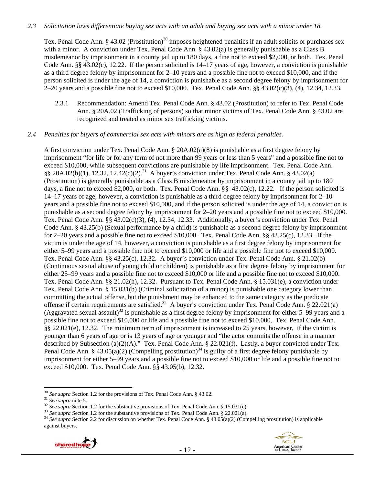## *2.3 Solicitation laws differentiate buying sex acts with an adult and buying sex acts with a minor under 18.*

Tex. Penal Code Ann. § 43.02 (Prostitution)<sup>30</sup> imposes heightened penalties if an adult solicits or purchases sex with a minor. A conviction under Tex. Penal Code Ann. § 43.02(a) is generally punishable as a Class B misdemeanor by imprisonment in a county jail up to 180 days, a fine not to exceed \$2,000, or both. Tex. Penal Code Ann. §§ 43.02(c), 12.22. If the person solicited is 14–17 years of age, however, a conviction is punishable as a third degree felony by imprisonment for 2–10 years and a possible fine not to exceed \$10,000, and if the person solicited is under the age of 14, a conviction is punishable as a second degree felony by imprisonment for 2–20 years and a possible fine not to exceed \$10,000. Tex. Penal Code Ann. §§ 43.02(c)(3), (4), 12.34, 12.33.

2.3.1 Recommendation: Amend Tex. Penal Code Ann. § 43.02 (Prostitution) to refer to Tex. Penal Code Ann. § 20A.02 (Trafficking of persons) so that minor victims of Tex. Penal Code Ann. § 43.02 are recognized and treated as minor sex trafficking victims.

### *2.4 Penalties for buyers of commercial sex acts with minors are as high as federal penalties.*

A first conviction under Tex. Penal Code Ann. § 20A.02(a)(8) is punishable as a first degree felony by imprisonment "for life or for any term of not more than 99 years or less than 5 years" and a possible fine not to exceed \$10,000, while subsequent convictions are punishable by life imprisonment. Tex. Penal Code Ann.  $\S$ § 20A.02(b)(1), 12.32, 12.42(c)(2).<sup>31</sup> A buyer's conviction under Tex. Penal Code Ann. § 43.02(a) (Prostitution) is generally punishable as a Class B misdemeanor by imprisonment in a county jail up to 180 days, a fine not to exceed \$2,000, or both. Tex. Penal Code Ann. §§ 43.02(c), 12.22. If the person solicited is 14–17 years of age, however, a conviction is punishable as a third degree felony by imprisonment for 2–10 years and a possible fine not to exceed \$10,000, and if the person solicited is under the age of 14, a conviction is punishable as a second degree felony by imprisonment for 2–20 years and a possible fine not to exceed \$10,000. Tex. Penal Code Ann. §§ 43.02(c)(3), (4), 12.34, 12.33. Additionally, a buyer's conviction under Tex. Penal Code Ann. § 43.25(b) (Sexual performance by a child) is punishable as a second degree felony by imprisonment for 2–20 years and a possible fine not to exceed \$10,000. Tex. Penal Code Ann. §§ 43.25(c), 12.33. If the victim is under the age of 14, however, a conviction is punishable as a first degree felony by imprisonment for either 5–99 years and a possible fine not to exceed \$10,000 or life and a possible fine not to exceed \$10,000. Tex. Penal Code Ann. §§ 43.25(c), 12.32. A buyer's conviction under Tex. Penal Code Ann. § 21.02(b) (Continuous sexual abuse of young child or children) is punishable as a first degree felony by imprisonment for either 25–99 years and a possible fine not to exceed \$10,000 or life and a possible fine not to exceed \$10,000. Tex. Penal Code Ann. §§ 21.02(h), 12.32. Pursuant to Tex. Penal Code Ann. § 15.031(e), a conviction under Tex. Penal Code Ann. § 15.031(b) (Criminal solicitation of a minor) is punishable one category lower than committing the actual offense, but the punishment may be enhanced to the same category as the predicate offense if certain requirements are satisfied.<sup>32</sup> A buyer's conviction under Tex. Penal Code Ann. § 22.021(a) (Aggravated sexual assault)<sup>33</sup> is punishable as a first degree felony by imprisonment for either  $5-99$  years and a possible fine not to exceed \$10,000 or life and a possible fine not to exceed \$10,000. Tex. Penal Code Ann. §§ 22.021(e), 12.32. The minimum term of imprisonment is increased to 25 years, however, if the victim is younger than 6 years of age or is 13 years of age or younger and "the actor commits the offense in a manner described by Subsection (a)(2)(A)." Tex. Penal Code Ann. § 22.021(f). Lastly, a buyer convicted under Tex. Penal Code Ann. § 43.05(a)(2) (Compelling prostitution)<sup>34</sup> is guilty of a first degree felony punishable by imprisonment for either 5–99 years and a possible fine not to exceed \$10,000 or life and a possible fine not to exceed \$10,000. Tex. Penal Code Ann. §§ 43.05(b), 12.32.

<sup>&</sup>lt;sup>30</sup> See supra Section 1.2 for the provisions of Tex. Penal Code Ann. § 43.02.<br><sup>31</sup> See supra note 5.<br><sup>32</sup> See supra Section 1.2 for the substantive provisions of Tex. Penal Code Ann. § 15.031(e).<br><sup>33</sup> See supra Section 1 against buyers.

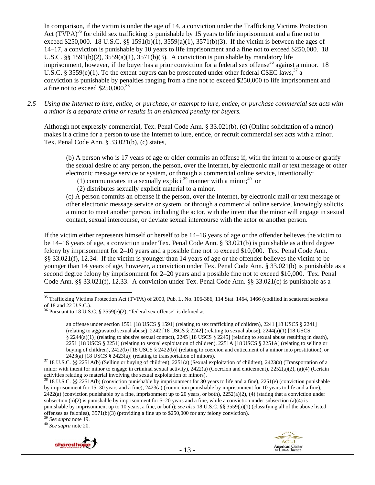In comparison, if the victim is under the age of 14, a conviction under the Trafficking Victims Protection Act (TVPA)<sup>35</sup> for child sex trafficking is punishable by 15 years to life imprisonment and a fine not to exceed \$250,000. 18 U.S.C. §§ 1591(b)(1),  $3559(a)(1)$ ,  $3571(b)(3)$ . If the victim is between the ages of 14–17, a conviction is punishable by 10 years to life imprisonment and a fine not to exceed \$250,000. 18 U.S.C. §§ 1591(b)(2), 3559(a)(1), 3571(b)(3). A conviction is punishable by mandatory life imprisonment, however, if the buyer has a prior conviction for a federal sex offense<sup>36</sup> against a minor. 18 U.S.C. § 3559(e)(1). To the extent buyers can be prosecuted under other federal CSEC laws,<sup>37</sup> a conviction is punishable by penalties ranging from a fine not to exceed \$250,000 to life imprisonment and a fine not to exceed \$250,000.38

*2.5 Using the Internet to lure, entice, or purchase, or attempt to lure, entice, or purchase commercial sex acts with a minor is a separate crime or results in an enhanced penalty for buyers.* 

Although not expressly commercial, Tex. Penal Code Ann. § 33.021(b), (c) (Online solicitation of a minor) makes it a crime for a person to use the Internet to lure, entice, or recruit commercial sex acts with a minor. Tex. Penal Code Ann. § 33.021(b), (c) states,

(b) A person who is 17 years of age or older commits an offense if, with the intent to arouse or gratify the sexual desire of any person, the person, over the Internet, by electronic mail or text message or other electronic message service or system, or through a commercial online service, intentionally:

(1) communicates in a sexually explicit<sup>39</sup> manner with a minor;<sup>40</sup> or

(2) distributes sexually explicit material to a minor.

(c) A person commits an offense if the person, over the Internet, by electronic mail or text message or other electronic message service or system, or through a commercial online service, knowingly solicits a minor to meet another person, including the actor, with the intent that the minor will engage in sexual contact, sexual intercourse, or deviate sexual intercourse with the actor or another person.

If the victim either represents himself or herself to be 14–16 years of age or the offender believes the victim to be 14–16 years of age, a conviction under Tex. Penal Code Ann. § 33.021(b) is punishable as a third degree felony by imprisonment for 2–10 years and a possible fine not to exceed \$10,000. Tex. Penal Code Ann. §§ 33.021(f), 12.34. If the victim is younger than 14 years of age or the offender believes the victim to be younger than 14 years of age, however, a conviction under Tex. Penal Code Ann. § 33.021(b) is punishable as a second degree felony by imprisonment for 2–20 years and a possible fine not to exceed \$10,000. Tex. Penal Code Ann. §§ 33.021(f), 12.33. A conviction under Tex. Penal Code Ann. §§ 33.021(c) is punishable as a





 $\overline{a}$ <sup>35</sup> Trafficking Victims Protection Act (TVPA) of 2000, Pub. L. No. 106-386, 114 Stat. 1464, 1466 (codified in scattered sections of 18 and 22 U.S.C.).

<sup>&</sup>lt;sup>36</sup> Pursuant to 18 U.S.C. § 3559 $(e)(2)$ , "federal sex offense" is defined as

an offense under section 1591 [18 USCS § 1591] (relating to sex trafficking of children), 2241 [18 USCS § 2241] (relating to aggravated sexual abuse), 2242 [18 USCS § 2242] (relating to sexual abuse), 2244(a)(1) [18 USCS § 2244(a)(1)] (relating to abusive sexual contact), 2245 [18 USCS § 2245] (relating to sexual abuse resulting in death), 2251 [18 USCS § 2251] (relating to sexual exploitation of children), 2251A [18 USCS § 2251A] (relating to selling or buying of children), 2422(b) [18 USCS § 2422(b)] (relating to coercion and enticement of a minor into prostitution), or

<sup>2423(</sup>a) [18 USCS § 2423(a)] (relating to transportation of minors).<br><sup>37</sup> 18 U.S.C. §§ 2251A(b) (Selling or buying of children), 2251(a) (Sexual exploitation of children), 2423(a) (Transportation of a minor with intent for minor to engage in criminal sexual activity), 2422(a) (Coercion and enticement), 2252(a)(2), (a)(4) (Certain activities relating to material involving the sexual exploitation of minors).

<sup>&</sup>lt;sup>38</sup> 18 U.S.C. §§ 2251A(b) (conviction punishable by imprisonment for 30 years to life and a fine), 2251(e) (conviction punishable by imprisonment for 15–30 years and a fine), 2423(a) (conviction punishable by imprisonment for 10 years to life and a fine),  $2422(a)$  (conviction punishable by a fine, imprisonment up to 20 years, or both),  $2252(a)(2)$ , (4) (stating that a conviction under subsection (a)(2) is punishable by imprisonment for 5–20 years and a fine, while a conviction under subsection (a)(4) is punishable by imprisonment up to 10 years, a fine, or both); *see also* 18 U.S.C. §§ 3559(a)(1) (classifying all of the above listed offenses as felonies), 3571(b)(3) (providing a fine up to \$250,000 for any felony conviction). 39 *See supra* note 19. 40 *See supra* note 20.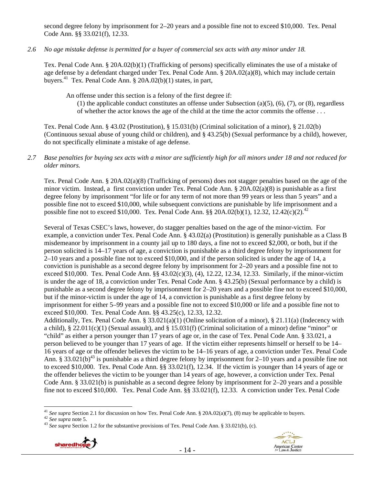second degree felony by imprisonment for 2–20 years and a possible fine not to exceed \$10,000. Tex. Penal Code Ann. §§ 33.021(f), 12.33.

*2.6 No age mistake defense is permitted for a buyer of commercial sex acts with any minor under 18.* 

Tex. Penal Code Ann. § 20A.02(b)(1) (Trafficking of persons) specifically eliminates the use of a mistake of age defense by a defendant charged under Tex. Penal Code Ann. § 20A.02(a)(8), which may include certain buyers.<sup>41</sup> Tex. Penal Code Ann. § 20A.02(b)(1) states, in part,

An offense under this section is a felony of the first degree if:

(1) the applicable conduct constitutes an offense under Subsection (a)(5), (6), (7), or (8), regardless of whether the actor knows the age of the child at the time the actor commits the offense . . .

Tex. Penal Code Ann. § 43.02 (Prostitution), § 15.031(b) (Criminal solicitation of a minor), § 21.02(b) (Continuous sexual abuse of young child or children), and § 43.25(b) (Sexual performance by a child), however, do not specifically eliminate a mistake of age defense.

## *2.7 Base penalties for buying sex acts with a minor are sufficiently high for all minors under 18 and not reduced for older minors.*

Tex. Penal Code Ann. § 20A.02(a)(8) (Trafficking of persons) does not stagger penalties based on the age of the minor victim. Instead, a first conviction under Tex. Penal Code Ann. § 20A.02(a)(8) is punishable as a first degree felony by imprisonment "for life or for any term of not more than 99 years or less than 5 years" and a possible fine not to exceed \$10,000, while subsequent convictions are punishable by life imprisonment and a possible fine not to exceed \$10,000. Tex. Penal Code Ann. §§ 20A.02(b)(1), 12.32, 12.42(c)(2).<sup>42</sup>

Several of Texas CSEC's laws, however, do stagger penalties based on the age of the minor-victim. For example, a conviction under Tex. Penal Code Ann. § 43.02(a) (Prostitution) is generally punishable as a Class B misdemeanor by imprisonment in a county jail up to 180 days, a fine not to exceed \$2,000, or both, but if the person solicited is 14–17 years of age, a conviction is punishable as a third degree felony by imprisonment for 2–10 years and a possible fine not to exceed \$10,000, and if the person solicited is under the age of 14, a conviction is punishable as a second degree felony by imprisonment for 2–20 years and a possible fine not to exceed \$10,000. Tex. Penal Code Ann. §§ 43.02(c)(3), (4), 12.22, 12.34, 12.33. Similarly, if the minor-victim is under the age of 18, a conviction under Tex. Penal Code Ann. § 43.25(b) (Sexual performance by a child) is punishable as a second degree felony by imprisonment for 2–20 years and a possible fine not to exceed \$10,000, but if the minor-victim is under the age of 14, a conviction is punishable as a first degree felony by imprisonment for either 5–99 years and a possible fine not to exceed \$10,000 or life and a possible fine not to exceed \$10,000. Tex. Penal Code Ann. §§ 43.25(c), 12.33, 12.32.

Additionally, Tex. Penal Code Ann. § 33.021(a)(1) (Online solicitation of a minor), § 21.11(a) (Indecency with a child), § 22.011(c)(1) (Sexual assault), and § 15.031(f) (Criminal solicitation of a minor) define "minor" or "child" as either a person younger than 17 years of age or, in the case of Tex. Penal Code Ann. § 33.021, a person believed to be younger than 17 years of age. If the victim either represents himself or herself to be 14– 16 years of age or the offender believes the victim to be 14–16 years of age, a conviction under Tex. Penal Code Ann. § 33.021(b)<sup>43</sup> is punishable as a third degree felony by imprisonment for 2–10 years and a possible fine not to exceed \$10,000. Tex. Penal Code Ann. §§ 33.021(f), 12.34. If the victim is younger than 14 years of age or the offender believes the victim to be younger than 14 years of age, however, a conviction under Tex. Penal Code Ann. § 33.021(b) is punishable as a second degree felony by imprisonment for 2–20 years and a possible fine not to exceed \$10,000. Tex. Penal Code Ann. §§ 33.021(f), 12.33. A conviction under Tex. Penal Code



<sup>&</sup>lt;sup>41</sup> See supra Section 2.1 for discussion on how Tex. Penal Code Ann. § 20A.02(a)(7), (8) may be applicable to buyers.<br><sup>42</sup> See supra note 5.<br><sup>43</sup> See supra Section 1.2 for the substantive provisions of Tex. Penal Code An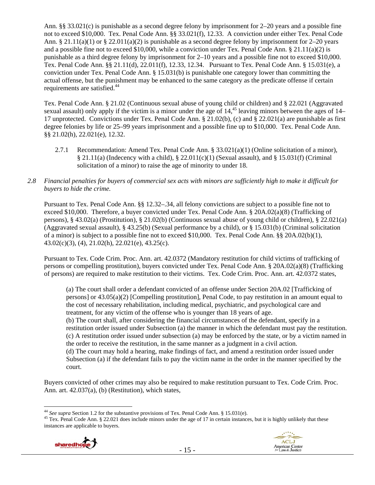Ann. §§ 33.021(c) is punishable as a second degree felony by imprisonment for 2–20 years and a possible fine not to exceed \$10,000. Tex. Penal Code Ann. §§ 33.021(f), 12.33. A conviction under either Tex. Penal Code Ann. § 21.11(a)(1) or § 22.011(a)(2) is punishable as a second degree felony by imprisonment for 2–20 years and a possible fine not to exceed \$10,000, while a conviction under Tex. Penal Code Ann. § 21.11(a)(2) is punishable as a third degree felony by imprisonment for 2–10 years and a possible fine not to exceed \$10,000. Tex. Penal Code Ann. §§ 21.11(d), 22.011(f), 12.33, 12.34. Pursuant to Tex. Penal Code Ann. § 15.031(e), a conviction under Tex. Penal Code Ann. § 15.031(b) is punishable one category lower than committing the actual offense, but the punishment may be enhanced to the same category as the predicate offense if certain requirements are satisfied.<sup>44</sup>

Tex. Penal Code Ann. § 21.02 (Continuous sexual abuse of young child or children) and § 22.021 (Aggravated sexual assault) only apply if the victim is a minor under the age of 14,<sup>45</sup> leaving minors between the ages of 14– 17 unprotected. Convictions under Tex. Penal Code Ann. § 21.02(b), (c) and § 22.021(a) are punishable as first degree felonies by life or 25–99 years imprisonment and a possible fine up to \$10,000. Tex. Penal Code Ann. §§ 21.02(h), 22.021(e), 12.32.

- 2.7.1 Recommendation: Amend Tex. Penal Code Ann. § 33.021(a)(1) (Online solicitation of a minor), § 21.11(a) (Indecency with a child), § 22.011(c)(1) (Sexual assault), and § 15.031(f) (Criminal solicitation of a minor) to raise the age of minority to under 18.
- *2.8 Financial penalties for buyers of commercial sex acts with minors are sufficiently high to make it difficult for buyers to hide the crime.*

Pursuant to Tex. Penal Code Ann. §§ 12.32–.34, all felony convictions are subject to a possible fine not to exceed \$10,000. Therefore, a buyer convicted under Tex. Penal Code Ann. § 20A.02(a)(8) (Trafficking of persons), § 43.02(a) (Prostitution), § 21.02(b) (Continuous sexual abuse of young child or children), § 22.021(a) (Aggravated sexual assault), § 43.25(b) (Sexual performance by a child), or § 15.031(b) (Criminal solicitation of a minor) is subject to a possible fine not to exceed \$10,000. Tex. Penal Code Ann. §§ 20A.02(b)(1), 43.02(c)(3), (4), 21.02(h), 22.021(e), 43.25(c).

Pursuant to Tex. Code Crim. Proc. Ann. art. 42.0372 (Mandatory restitution for child victims of trafficking of persons or compelling prostitution), buyers convicted under Tex. Penal Code Ann. § 20A.02(a)(8) (Trafficking of persons) are required to make restitution to their victims. Tex. Code Crim. Proc. Ann. art. 42.0372 states,

(a) The court shall order a defendant convicted of an offense under Section 20A.02 [Trafficking of persons] or 43.05(a)(2) [Compelling prostitution], Penal Code, to pay restitution in an amount equal to the cost of necessary rehabilitation, including medical, psychiatric, and psychological care and treatment, for any victim of the offense who is younger than 18 years of age. (b) The court shall, after considering the financial circumstances of the defendant, specify in a restitution order issued under Subsection (a) the manner in which the defendant must pay the restitution. (c) A restitution order issued under subsection (a) may be enforced by the state, or by a victim named in the order to receive the restitution, in the same manner as a judgment in a civil action. (d) The court may hold a hearing, make findings of fact, and amend a restitution order issued under Subsection (a) if the defendant fails to pay the victim name in the order in the manner specified by the court.

Buyers convicted of other crimes may also be required to make restitution pursuant to Tex. Code Crim. Proc. Ann. art. 42.037(a), (b) (Restitution), which states,

<sup>&</sup>lt;sup>45</sup> Tex. Penal Code Ann. § 22.021 does include minors under the age of 17 in certain instances, but it is highly unlikely that these instances are applicable to buyers.





<sup>&</sup>lt;sup>44</sup> See supra Section 1.2 for the substantive provisions of Tex. Penal Code Ann. § 15.031(e).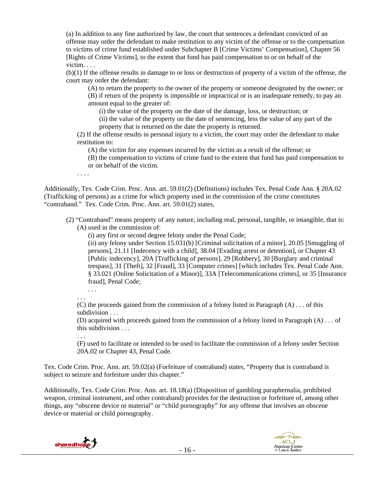(a) In addition to any fine authorized by law, the court that sentences a defendant convicted of an offense may order the defendant to make restitution to any victim of the offense or to the compensation to victims of crime fund established under Subchapter B [Crime Victims' Compensation], Chapter 56 [Rights of Crime Victims], to the extent that fund has paid compensation to or on behalf of the victim. . . .

(b)(1) If the offense results in damage to or loss or destruction of property of a victim of the offense, the court may order the defendant:

(A) to return the property to the owner of the property or someone designated by the owner; or (B) if return of the property is impossible or impractical or is an inadequate remedy, to pay an amount equal to the greater of:

(i) the value of the property on the date of the damage, loss, or destruction; or

(ii) the value of the property on the date of sentencing, less the value of any part of the property that is returned on the date the property is returned.

(2) If the offense results in personal injury to a victim, the court may order the defendant to make restitution to:

(A) the victim for any expenses incurred by the victim as a result of the offense; or

(B) the compensation to victims of crime fund to the extent that fund has paid compensation to or on behalf of the victim.

. . . .

Additionally, Tex. Code Crim. Proc. Ann. art. 59.01(2) (Definitions) includes Tex. Penal Code Ann. § 20A.02 (Trafficking of persons) as a crime for which property used in the commission of the crime constitutes "contraband." Tex. Code Crim. Proc. Ann. art. 59.01(2) states,

(2) "Contraband" means property of any nature, including real, personal, tangible, or intangible, that is: (A) used in the commission of:

(i) any first or second degree felony under the Penal Code;

(ii) any felony under Section 15.031(b) [Criminal solicitation of a minor], 20.05 [Smuggling of persons], 21.11 [Indecency with a child], 38.04 [Evading arrest or detention], or Chapter 43 [Public indecency], 20A [Trafficking of persons], 29 [Robbery], 30 [Burglary and criminal trespass], 31 [Theft], 32 [Fraud], 33 [Computer crimes] [which includes Tex. Penal Code Ann. § 33.021 (Online Solicitation of a Minor)], 33A [Telecommunications crimes], or 35 [Insurance fraud], Penal Code;

. . . . . .

(C) the proceeds gained from the commission of a felony listed in Paragraph  $(A) \dots$  of this subdivision . . .

(D) acquired with proceeds gained from the commission of a felony listed in Paragraph (A) . . . of this subdivision . . .

#### . . .

(F) used to facilitate or intended to be used to facilitate the commission of a felony under Section 20A.02 or Chapter 43, Penal Code.

Tex. Code Crim. Proc. Ann. art. 59.02(a) (Forfeiture of contraband) states, "Property that is contraband is subject to seizure and forfeiture under this chapter."

Additionally, Tex. Code Crim. Proc. Ann. art. 18.18(a) (Disposition of gambling paraphernalia, prohibited weapon, criminal instrument, and other contraband) provides for the destruction or forfeiture of, among other things, any "obscene device or material" or "child pornography" for any offense that involves an obscene device or material or child pornography.



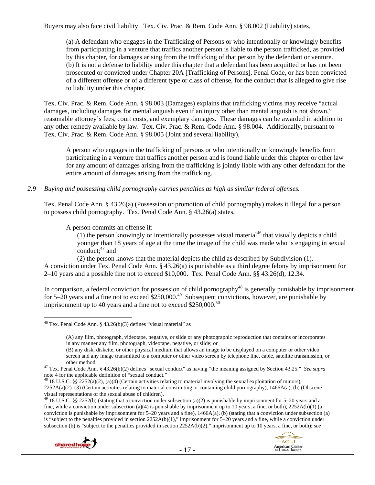Buyers may also face civil liability. Tex. Civ. Prac. & Rem. Code Ann. § 98.002 (Liability) states,

(a) A defendant who engages in the Trafficking of Persons or who intentionally or knowingly benefits from participating in a venture that traffics another person is liable to the person trafficked, as provided by this chapter, for damages arising from the trafficking of that person by the defendant or venture. (b) It is not a defense to liability under this chapter that a defendant has been acquitted or has not been prosecuted or convicted under Chapter 20A [Trafficking of Persons], Penal Code, or has been convicted of a different offense or of a different type or class of offense, for the conduct that is alleged to give rise to liability under this chapter.

Tex. Civ. Prac. & Rem. Code Ann. § 98.003 (Damages) explains that trafficking victims may receive "actual damages, including damages for mental anguish even if an injury other than mental anguish is not shown," reasonable attorney's fees, court costs, and exemplary damages. These damages can be awarded in addition to any other remedy available by law. Tex. Civ. Prac. & Rem. Code Ann. § 98.004. Additionally, pursuant to Tex. Civ. Prac. & Rem. Code Ann. § 98.005 (Joint and several liability),

A person who engages in the trafficking of persons or who intentionally or knowingly benefits from participating in a venture that traffics another person and is found liable under this chapter or other law for any amount of damages arising from the trafficking is jointly liable with any other defendant for the entire amount of damages arising from the trafficking.

*2.9 Buying and possessing child pornography carries penalties as high as similar federal offenses.* 

Tex. Penal Code Ann. § 43.26(a) (Possession or promotion of child pornography) makes it illegal for a person to possess child pornography. Tex. Penal Code Ann. § 43.26(a) states,

A person commits an offense if:

(1) the person knowingly or intentionally possesses visual material<sup>46</sup> that visually depicts a child younger than 18 years of age at the time the image of the child was made who is engaging in sexual conduct; $47$  and

(2) the person knows that the material depicts the child as described by Subdivision (1). A conviction under Tex. Penal Code Ann. § 43.26(a) is punishable as a third degree felony by imprisonment for 2–10 years and a possible fine not to exceed \$10,000. Tex. Penal Code Ann. §§ 43.26(d), 12.34.

In comparison, a federal conviction for possession of child pornography<sup>48</sup> is generally punishable by imprisonment for 5–20 years and a fine not to exceed  $$250,000.<sup>49</sup>$  Subsequent convictions, however, are punishable by imprisonment up to 40 years and a fine not to exceed  $$250,000.<sup>50</sup>$ 

<sup>&</sup>lt;sup>49</sup> 18 U.S.C. §§ 2252(b) (stating that a conviction under subsection (a)(2) is punishable by imprisonment for 5–20 years and a fine, while a conviction under subsection (a)(4) is punishable by imprisonment up to 10 years, a fine, or both),  $2252A(b)(1)$  (a conviction is punishable by imprisonment for  $5-20$  years and a fine),  $1466A(a)$ , (b) (stating that a conviction under subsection (a) is "subject to the penalties provided in section 2252A(b)(1)," imprisonment for 5–20 years and a fine, while a conviction under subsection (b) is "subject to the penalties provided in section 2252A(b)(2)," imprisonment up to 10 years, a fine, or both); *see* 





 $46$  Tex. Penal Code Ann. § 43.26(b)(3) defines "visual material" as

<sup>(</sup>A) any film, photograph, videotape, negative, or slide or any photographic reproduction that contains or incorporates in any manner any film, photograph, videotape, negative, or slide; or

<sup>(</sup>B) any disk, diskette, or other physical medium that allows an image to be displayed on a computer or other video screen and any image transmitted to a computer or other video screen by telephone line, cable, satellite transmission, or

other method. 47 Tex. Penal Code Ann. § 43.26(b)(2) defines "sexual conduct" as having "the meaning assigned by Section 43.25." *See supra*  note 4 for the applicable definition of "sexual conduct."

 $^{48}$  18 U.S.C. §§ 2252(a)(2), (a)(4) (Certain activities relating to material involving the sexual exploitation of minors), 2252A(a)(2)–(3) (Certain activities relating to material constituting or containing child pornography), 1466A(a), (b) (Obscene visual representations of the sexual abuse of children).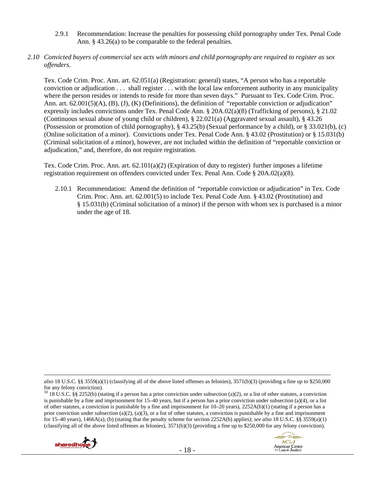- 2.9.1 Recommendation: Increase the penalties for possessing child pornography under Tex. Penal Code Ann. § 43.26(a) to be comparable to the federal penalties.
- *2.10 Convicted buyers of commercial sex acts with minors and child pornography are required to register as sex offenders.*

Tex. Code Crim. Proc. Ann. art. 62.051(a) (Registration: general) states, "A person who has a reportable conviction or adjudication . . . shall register . . . with the local law enforcement authority in any municipality where the person resides or intends to reside for more than seven days." Pursuant to Tex. Code Crim. Proc. Ann. art. 62.001(5)(A), (B), (J), (K) (Definitions), the definition of "reportable conviction or adjudication" expressly includes convictions under Tex. Penal Code Ann. § 20A.02(a)(8) (Trafficking of persons), § 21.02 (Continuous sexual abuse of young child or children), § 22.021(a) (Aggravated sexual assault), § 43.26 (Possession or promotion of child pornography), § 43.25(b) (Sexual performance by a child), or § 33.021(b), (c) (Online solicitation of a minor). Convictions under Tex. Penal Code Ann. § 43.02 (Prostitution) or § 15.031(b) (Criminal solicitation of a minor), however, are not included within the definition of "reportable conviction or adjudication," and, therefore, do not require registration.

Tex. Code Crim. Proc. Ann. art. 62.101(a)(2) (Expiration of duty to register) further imposes a lifetime registration requirement on offenders convicted under Tex. Penal Ann. Code § 20A.02(a)(8).

2.10.1 Recommendation: Amend the definition of "reportable conviction or adjudication" in Tex. Code Crim. Proc. Ann. art. 62.001(5) to include Tex. Penal Code Ann. § 43.02 (Prostitution) and § 15.031(b) (Criminal solicitation of a minor) if the person with whom sex is purchased is a minor under the age of 18.

 $50$  18 U.S.C. §§ 2252(b) (stating if a person has a prior conviction under subsection (a)(2), or a list of other statutes, a conviction is punishable by a fine and imprisonment for 15–40 years, but if a person has a prior conviction under subsection (a)(4), or a list of other statutes, a conviction is punishable by a fine and imprisonment for 10–20 years), 2252A(b)(1) (stating if a person has a prior conviction under subsection (a)(2), (a)(3), or a list of other statutes, a conviction is punishable by a fine and imprisonment for 15–40 years), 1466A(a), (b) (stating that the penalty scheme for section 2252A(b) applies); *see also* 18 U.S.C. §§ 3559(a)(1) (classifying all of the above listed offenses as felonies),  $3571(b)(3)$  (providing a fine up to \$250,000 for any felony conviction).





 $\overline{a}$ *also* 18 U.S.C. §§ 3559(a)(1) (classifying all of the above listed offenses as felonies), 3571(b)(3) (providing a fine up to \$250,000 for any felony conviction).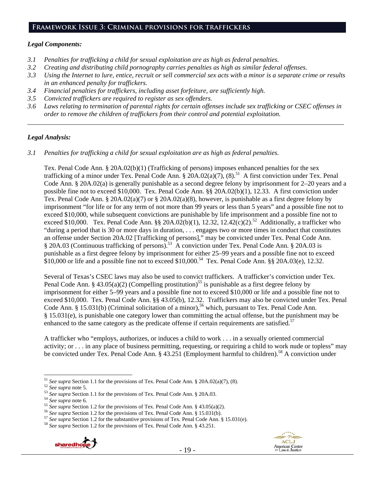## *Legal Components:*

- *3.1 Penalties for trafficking a child for sexual exploitation are as high as federal penalties.*
- *3.2 Creating and distributing child pornography carries penalties as high as similar federal offenses.*
- *3.3 Using the Internet to lure, entice, recruit or sell commercial sex acts with a minor is a separate crime or results in an enhanced penalty for traffickers.*
- *3.4 Financial penalties for traffickers, including asset forfeiture, are sufficiently high.*
- *3.5 Convicted traffickers are required to register as sex offenders.*
- *3.6 Laws relating to termination of parental rights for certain offenses include sex trafficking or CSEC offenses in order to remove the children of traffickers from their control and potential exploitation.*  \_\_\_\_\_\_\_\_\_\_\_\_\_\_\_\_\_\_\_\_\_\_\_\_\_\_\_\_\_\_\_\_\_\_\_\_\_\_\_\_\_\_\_\_\_\_\_\_\_\_\_\_\_\_\_\_\_\_\_\_\_\_\_\_\_\_\_\_\_\_\_\_\_\_\_\_\_\_\_\_\_\_\_\_\_\_\_\_\_\_\_\_\_\_

## *Legal Analysis:*

*3.1 Penalties for trafficking a child for sexual exploitation are as high as federal penalties.* 

Tex. Penal Code Ann. § 20A.02(b)(1) (Trafficking of persons) imposes enhanced penalties for the sex trafficking of a minor under Tex. Penal Code Ann.  $\frac{20A.02(a)}{7}$ ,  $\frac{8}{5}$  A first conviction under Tex. Penal Code Ann. § 20A.02(a) is generally punishable as a second degree felony by imprisonment for 2–20 years and a possible fine not to exceed \$10,000. Tex. Penal Code Ann. §§ 20A.02(b)(1), 12.33. A first conviction under Tex. Penal Code Ann. §  $20A.02(a)(7)$  or §  $20A.02(a)(8)$ , however, is punishable as a first degree felony by imprisonment "for life or for any term of not more than 99 years or less than 5 years" and a possible fine not to exceed \$10,000, while subsequent convictions are punishable by life imprisonment and a possible fine not to exceed \$10,000. Tex. Penal Code Ann. §§ 20A.02(b)(1), 12.32, 12.42(c)(2).<sup>52</sup> Additionally, a trafficker who "during a period that is 30 or more days in duration, . . . engages two or more times in conduct that constitutes an offense under Section 20A.02 [Trafficking of persons]," may be convicted under Tex. Penal Code Ann. § 20A.03 (Continuous trafficking of persons).53 A conviction under Tex. Penal Code Ann. § 20A.03 is punishable as a first degree felony by imprisonment for either 25–99 years and a possible fine not to exceed  $$10,000$  or life and a possible fine not to exceed \$10,000.<sup>54</sup> Tex. Penal Code Ann. §§ 20A.03(e), 12.32.

Several of Texas's CSEC laws may also be used to convict traffickers. A trafficker's conviction under Tex. Penal Code Ann. § 43.05(a)(2) (Compelling prostitution)<sup>55</sup> is punishable as a first degree felony by imprisonment for either 5–99 years and a possible fine not to exceed \$10,000 or life and a possible fine not to exceed \$10,000. Tex. Penal Code Ann. §§ 43.05(b), 12.32. Traffickers may also be convicted under Tex. Penal Code Ann. § 15.031(b) (Criminal solicitation of a minor),<sup>56</sup> which, pursuant to Tex. Penal Code Ann. § 15.031(e), is punishable one category lower than committing the actual offense, but the punishment may be enhanced to the same category as the predicate offense if certain requirements are satisfied.<sup>57</sup>

A trafficker who "employs, authorizes, or induces a child to work . . . in a sexually oriented commercial activity; or . . . in any place of business permitting, requesting, or requiring a child to work nude or topless" may be convicted under Tex. Penal Code Ann. § 43.251 (Employment harmful to children).<sup>58</sup> A conviction under



<sup>&</sup>lt;sup>51</sup> See supra Section 1.1 for the provisions of Tex. Penal Code Ann. § 20A.02(a)(7), (8).

<sup>&</sup>lt;sup>52</sup> See supra note 5.<br>
<sup>53</sup> See supra Section 1.1 for the provisions of Tex. Penal Code Ann. § 20A.03.<br>
<sup>54</sup> See supra note 6.<br>
<sup>55</sup> See supra Section 1.2 for the provisions of Tex. Penal Code Ann. § 43.05(a)(2).<br>
<sup>56</sup> S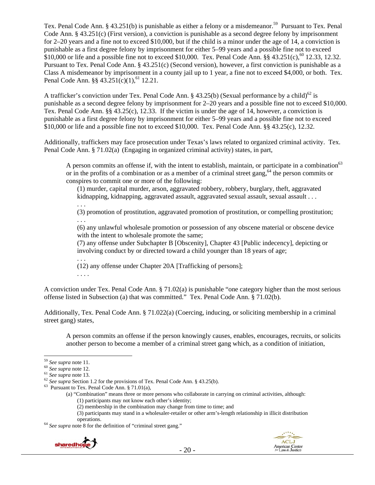Tex. Penal Code Ann. § 43.251(b) is punishable as either a felony or a misdemeanor.<sup>59</sup> Pursuant to Tex. Penal Code Ann. § 43.251(c) (First version), a conviction is punishable as a second degree felony by imprisonment for 2–20 years and a fine not to exceed \$10,000, but if the child is a minor under the age of 14, a conviction is punishable as a first degree felony by imprisonment for either 5–99 years and a possible fine not to exceed \$10,000 or life and a possible fine not to exceed \$10,000. Tex. Penal Code Ann. §§  $43.251(c)$ ,<sup>60</sup> 12.33, 12.32. Pursuant to Tex. Penal Code Ann. § 43.251(c) (Second version), however, a first conviction is punishable as a Class A misdemeanor by imprisonment in a county jail up to 1 year, a fine not to exceed \$4,000, or both. Tex. Penal Code Ann.  $\S$ § 43.251(c)(1),<sup>61</sup> 12.21.

A trafficker's conviction under Tex. Penal Code Ann. § 43.25(b) (Sexual performance by a child)<sup>62</sup> is punishable as a second degree felony by imprisonment for 2–20 years and a possible fine not to exceed \$10,000. Tex. Penal Code Ann. §§ 43.25(c), 12.33. If the victim is under the age of 14, however, a conviction is punishable as a first degree felony by imprisonment for either 5–99 years and a possible fine not to exceed \$10,000 or life and a possible fine not to exceed \$10,000. Tex. Penal Code Ann. §§ 43.25(c), 12.32.

Additionally, traffickers may face prosecution under Texas's laws related to organized criminal activity. Tex. Penal Code Ann. § 71.02(a) (Engaging in organized criminal activity) states, in part,

A person commits an offense if, with the intent to establish, maintain, or participate in a combination<sup>63</sup> or in the profits of a combination or as a member of a criminal street gang.<sup>64</sup> the person commits or conspires to commit one or more of the following:

(1) murder, capital murder, arson, aggravated robbery, robbery, burglary, theft, aggravated kidnapping, kidnapping, aggravated assault, aggravated sexual assault, sexual assault . . .

. . . (3) promotion of prostitution, aggravated promotion of prostitution, or compelling prostitution; . . .

(6) any unlawful wholesale promotion or possession of any obscene material or obscene device with the intent to wholesale promote the same;

(7) any offense under Subchapter B [Obscenity], Chapter 43 [Public indecency], depicting or involving conduct by or directed toward a child younger than 18 years of age;

. . . (12) any offense under Chapter 20A [Trafficking of persons]; . . . .

A conviction under Tex. Penal Code Ann. § 71.02(a) is punishable "one category higher than the most serious offense listed in Subsection (a) that was committed." Tex. Penal Code Ann. § 71.02(b).

Additionally, Tex. Penal Code Ann. § 71.022(a) (Coercing, inducing, or soliciting membership in a criminal street gang) states,

A person commits an offense if the person knowingly causes, enables, encourages, recruits, or solicits another person to become a member of a criminal street gang which, as a condition of initiation,

(3) participants may stand in a wholesaler-retailer or other arm's-length relationship in illicit distribution

operations. 64 *See supra* note 8 for the definition of "criminal street gang."





<sup>&</sup>lt;sup>59</sup> See supra note 11.

<sup>&</sup>lt;sup>60</sup> *See supra* note 11.<br><sup>61</sup> *See supra* note 12.<br><sup>62</sup> *See supra* Section 1.2 for the provisions of Tex. Penal Code Ann. § 43.25(b).<br><sup>63</sup> Pursuant to Tex. Penal Code Ann. § 71.01(a),

<sup>(</sup>a) "Combination" means three or more persons who collaborate in carrying on criminal activities, although: (1) participants may not know each other's identity;

<sup>(2)</sup> membership in the combination may change from time to time; and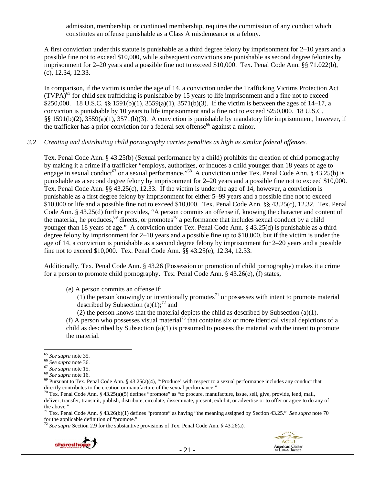admission, membership, or continued membership, requires the commission of any conduct which constitutes an offense punishable as a Class A misdemeanor or a felony.

A first conviction under this statute is punishable as a third degree felony by imprisonment for 2–10 years and a possible fine not to exceed \$10,000, while subsequent convictions are punishable as second degree felonies by imprisonment for 2–20 years and a possible fine not to exceed \$10,000. Tex. Penal Code Ann. §§ 71.022(b), (c), 12.34, 12.33.

In comparison, if the victim is under the age of 14, a conviction under the Trafficking Victims Protection Act  $(TVPA)<sup>65</sup>$  for child sex trafficking is punishable by 15 years to life imprisonment and a fine not to exceed \$250,000. 18 U.S.C. §§ 1591(b)(1), 3559(a)(1), 3571(b)(3). If the victim is between the ages of 14–17, a conviction is punishable by 10 years to life imprisonment and a fine not to exceed \$250,000. 18 U.S.C. §§ 1591(b)(2), 3559(a)(1), 3571(b)(3). A conviction is punishable by mandatory life imprisonment, however, if the trafficker has a prior conviction for a federal sex offense<sup>66</sup> against a minor.

### *3.2 Creating and distributing child pornography carries penalties as high as similar federal offenses.*

Tex. Penal Code Ann. § 43.25(b) (Sexual performance by a child) prohibits the creation of child pornography by making it a crime if a trafficker "employs, authorizes, or induces a child younger than 18 years of age to engage in sexual conduct<sup>67</sup> or a sexual performance."<sup>68</sup> A conviction under Tex. Penal Code Ann. § 43.25(b) is punishable as a second degree felony by imprisonment for 2–20 years and a possible fine not to exceed \$10,000. Tex. Penal Code Ann. §§ 43.25(c), 12.33. If the victim is under the age of 14, however, a conviction is punishable as a first degree felony by imprisonment for either 5–99 years and a possible fine not to exceed \$10,000 or life and a possible fine not to exceed \$10,000. Tex. Penal Code Ann. §§ 43.25(c), 12.32. Tex. Penal Code Ann. § 43.25(d) further provides, "A person commits an offense if, knowing the character and content of the material, he produces, $69$  directs, or promotes<sup>70</sup> a performance that includes sexual conduct by a child younger than 18 years of age." A conviction under Tex. Penal Code Ann. § 43.25(d) is punishable as a third degree felony by imprisonment for 2–10 years and a possible fine up to \$10,000, but if the victim is under the age of 14, a conviction is punishable as a second degree felony by imprisonment for 2–20 years and a possible fine not to exceed \$10,000. Tex. Penal Code Ann. §§ 43.25(e), 12.34, 12.33.

Additionally, Tex. Penal Code Ann. § 43.26 (Possession or promotion of child pornography) makes it a crime for a person to promote child pornography. Tex. Penal Code Ann. § 43.26(e), (f) states,

(e) A person commits an offense if:

 $(1)$  the person knowingly or intentionally promotes<sup>71</sup> or possesses with intent to promote material described by Subsection (a)(1);<sup>72</sup> and

(2) the person knows that the material depicts the child as described by Subsection (a)(1).

(f) A person who possesses visual material<sup>73</sup> that contains six or more identical visual depictions of a child as described by Subsection (a)(1) is presumed to possess the material with the intent to promote the material.

<sup>72</sup> *See supra* Section 2.9 for the substantive provisions of Tex. Penal Code Ann. § 43.26(a).



<sup>&</sup>lt;sup>65</sup> See supra note 35.<br>
<sup>66</sup> See supra note 36.<br>
<sup>67</sup> See supra note 15.<br>
<sup>68</sup> See supra note 16.<br>
<sup>68</sup> See supra note 16.<br>
<sup>69</sup> Pursuant to Tex. Penal Code Ann. § 43.25(a)(4), "Produce' with respect to a sexual performa directly contributes to the creation or manufacture of the sexual performance."<br><sup>70</sup> Tex. Penal Code Ann. § 43.25(a)(5) defines "promote" as "to procure, manufacture, issue, sell, give, provide, lend, mail,

deliver, transfer, transmit, publish, distribute, circulate, disseminate, present, exhibit, or advertise or to offer or agree to do any of the above."

<sup>&</sup>lt;sup>71</sup> Tex. Penal Code Ann. § 43.26(b)(1) defines "promote" as having "the meaning assigned by Section 43.25." *See supra* note 70 for the applicable definition of "promote."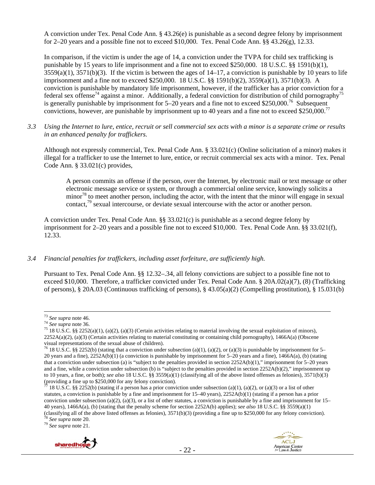A conviction under Tex. Penal Code Ann. § 43.26(e) is punishable as a second degree felony by imprisonment for 2–20 years and a possible fine not to exceed \$10,000. Tex. Penal Code Ann.  $\S$ § 43.26(g), 12.33.

In comparison, if the victim is under the age of 14, a conviction under the TVPA for child sex trafficking is punishable by 15 years to life imprisonment and a fine not to exceed \$250,000. 18 U.S.C. §§ 1591(b)(1),  $3559(a)(1)$ ,  $3571(b)(3)$ . If the victim is between the ages of  $14-17$ , a conviction is punishable by 10 years to life imprisonment and a fine not to exceed \$250,000. 18 U.S.C. §§ 1591(b)(2), 3559(a)(1), 3571(b)(3). A conviction is punishable by mandatory life imprisonment, however, if the trafficker has a prior conviction for a federal sex offense<sup>74</sup> against a minor. Additionally, a federal conviction for distribution of child pornography<sup>75</sup> is generally punishable by imprisonment for  $5-20$  years and a fine not to exceed \$250,000.<sup>76</sup> Subsequent convictions, however, are punishable by imprisonment up to 40 years and a fine not to exceed \$250,000.<sup>77</sup>

*3.3 Using the Internet to lure, entice, recruit or sell commercial sex acts with a minor is a separate crime or results in an enhanced penalty for traffickers.* 

Although not expressly commercial, Tex. Penal Code Ann. § 33.021(c) (Online solicitation of a minor) makes it illegal for a trafficker to use the Internet to lure, entice, or recruit commercial sex acts with a minor. Tex. Penal Code Ann. § 33.021(c) provides,

A person commits an offense if the person, over the Internet, by electronic mail or text message or other electronic message service or system, or through a commercial online service, knowingly solicits a minor<sup>78</sup> to meet another person, including the actor, with the intent that the minor will engage in sexual contact.<sup>79</sup> sexual intercourse, or deviate sexual intercourse with the actor or another person.

A conviction under Tex. Penal Code Ann. §§ 33.021(c) is punishable as a second degree felony by imprisonment for 2–20 years and a possible fine not to exceed \$10,000. Tex. Penal Code Ann. §§ 33.021(f), 12.33.

### *3.4 Financial penalties for traffickers, including asset forfeiture, are sufficiently high.*

Pursuant to Tex. Penal Code Ann. §§ 12.32–.34, all felony convictions are subject to a possible fine not to exceed \$10,000. Therefore, a trafficker convicted under Tex. Penal Code Ann. § 20A.02(a)(7), (8) (Trafficking of persons), § 20A.03 (Continuous trafficking of persons), § 43.05(a)(2) (Compelling prostitution), § 15.031(b)





<sup>&</sup>lt;sup>73</sup> *See supra* note 46.<br><sup>74</sup> *See supra* note 36.<br><sup>75</sup> 18 U.S.C. §§ 2252(a)(1), (a)(2), (a)(3) (Certain activities relating to material involving the sexual exploitation of minors), 2252A(a)(2), (a)(3) (Certain activities relating to material constituting or containing child pornography), 1466A(a) (Obscene visual representations of the sexual abuse of children).

<sup>&</sup>lt;sup>76</sup> 18 U.S.C. §§ 2252(b) (stating that a conviction under subsection (a)(1), (a)(2), or (a)(3) is punishable by imprisonment for 5– 20 years and a fine), 2252A(b)(1) (a conviction is punishable by imprisonment for 5–20 years and a fine), 1466A(a), (b) (stating that a conviction under subsection (a) is "subject to the penalties provided in section 2252A(b)(1)," imprisonment for 5–20 years and a fine, while a conviction under subsection (b) is "subject to the penalties provided in section 2252A(b)(2)," imprisonment up to 10 years, a fine, or both); *see also* 18 U.S.C. §§ 3559(a)(1) (classifying all of the above listed offenses as felonies), 3571(b)(3) (providing a fine up to \$250,000 for any felony conviction).<br>  $\frac{7}{11}$  18 JJ S C 88 2252.2

<sup>18</sup> U.S.C. §§ 2252(b) (stating if a person has a prior conviction under subsection (a)(1), (a)(2), or (a)(3) or a list of other statutes, a conviction is punishable by a fine and imprisonment for 15–40 years), 2252A(b)(1) (stating if a person has a prior conviction under subsection (a)(2), (a)(3), or a list of other statutes, a conviction is punishable by a fine and imprisonment for  $15-$ 40 years), 1466A(a), (b) (stating that the penalty scheme for section 2252A(b) applies); *see also* 18 U.S.C. §§ 3559(a)(1) (classifying all of the above listed offenses as felonies), 3571(b)(3) (providing a fine up to \$250,000 for any felony conviction). 78 *See supra* note 20. 79 *See supra* note 21.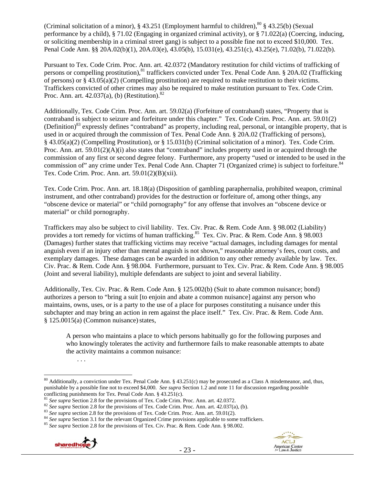(Criminal solicitation of a minor),  $\S$  43.251 (Employment harmful to children),  $80$   $\S$  43.25(b) (Sexual performance by a child), § 71.02 (Engaging in organized criminal activity), or § 71.022(a) (Coercing, inducing, or soliciting membership in a criminal street gang) is subject to a possible fine not to exceed \$10,000. Tex. Penal Code Ann. §§ 20A.02(b)(1), 20A.03(e), 43.05(b), 15.031(e), 43.251(c), 43.25(e), 71.02(b), 71.022(b).

Pursuant to Tex. Code Crim. Proc. Ann. art. 42.0372 (Mandatory restitution for child victims of trafficking of persons or compelling prostitution),<sup>81</sup> traffickers convicted under Tex. Penal Code Ann. § 20A.02 (Trafficking of persons) or  $\S 43.05(a)(2)$  (Compelling prostitution) are required to make restitution to their victims. Traffickers convicted of other crimes may also be required to make restitution pursuant to Tex. Code Crim. Proc. Ann. art.  $42.037(a)$ , (b) (Restitution).<sup>82</sup>

Additionally, Tex. Code Crim. Proc. Ann. art. 59.02(a) (Forfeiture of contraband) states, "Property that is contraband is subject to seizure and forfeiture under this chapter." Tex. Code Crim. Proc. Ann. art. 59.01(2) (Definition)<sup>83</sup> expressly defines "contraband" as property, including real, personal, or intangible property, that is used in or acquired through the commission of Tex. Penal Code Ann. § 20A.02 (Trafficking of persons), § 43.05(a)(2) (Compelling Prostitution), or § 15.031(b) (Criminal solicitation of a minor). Tex. Code Crim. Proc. Ann. art. 59.01(2)(A)(i) also states that "contraband" includes property used in or acquired through the commission of any first or second degree felony. Furthermore, any property "used or intended to be used in the commission of" any crime under Tex. Penal Code Ann. Chapter 71 (Organized crime) is subject to forfeiture.<sup>84</sup> Tex. Code Crim. Proc. Ann. art. 59.01(2)(B)(xii).

Tex. Code Crim. Proc. Ann. art. 18.18(a) (Disposition of gambling paraphernalia, prohibited weapon, criminal instrument, and other contraband) provides for the destruction or forfeiture of, among other things, any "obscene device or material" or "child pornography" for any offense that involves an "obscene device or material" or child pornography.

Traffickers may also be subject to civil liability. Tex. Civ. Prac. & Rem. Code Ann. § 98.002 (Liability) provides a tort remedy for victims of human trafficking.<sup>85</sup> Tex. Civ. Prac. & Rem. Code Ann. § 98.003 (Damages) further states that trafficking victims may receive "actual damages, including damages for mental anguish even if an injury other than mental anguish is not shown," reasonable attorney's fees, court costs, and exemplary damages. These damages can be awarded in addition to any other remedy available by law. Tex. Civ. Prac. & Rem. Code Ann. § 98.004. Furthermore, pursuant to Tex. Civ. Prac. & Rem. Code Ann. § 98.005 (Joint and several liability), multiple defendants are subject to joint and several liability.

Additionally, Tex. Civ. Prac. & Rem. Code Ann. § 125.002(b) (Suit to abate common nuisance; bond) authorizes a person to "bring a suit [to enjoin and abate a common nuisance] against any person who maintains, owns, uses, or is a party to the use of a place for purposes constituting a nuisance under this subchapter and may bring an action in rem against the place itself." Tex. Civ. Prac. & Rem. Code Ann.  $§ 125.0015(a)$  (Common nuisance) states,

A person who maintains a place to which persons habitually go for the following purposes and who knowingly tolerates the activity and furthermore fails to make reasonable attempts to abate the activity maintains a common nuisance:





<sup>. . .</sup> 

 $\overline{a}$ <sup>80</sup> Additionally, a conviction under Tex. Penal Code Ann. § 43.251(c) may be prosecuted as a Class A misdemeanor, and, thus, punishable by a possible fine not to exceed \$4,000. *See supra* Section 1.2 and note 11 for discussion regarding possible conflicting punishments for Tex. Penal Code Ann. § 43.251(c).<br>
<sup>81</sup> See supra Section 2.8 for the provisions of Tex. Code Crim. Proc. Ann. art. 42.0372.<br>
<sup>82</sup> See supra Section 2.8 for the provisions of Tex. Code Crim. Pr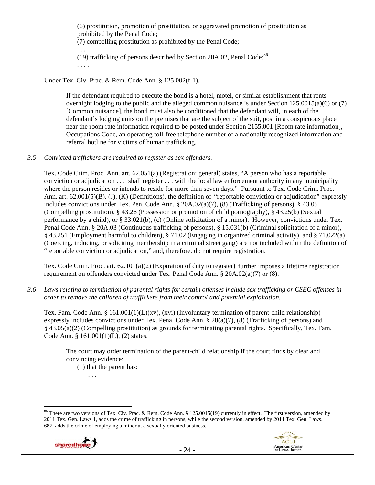(6) prostitution, promotion of prostitution, or aggravated promotion of prostitution as prohibited by the Penal Code; (7) compelling prostitution as prohibited by the Penal Code; . . . (19) trafficking of persons described by Section 20A.02, Penal Code; $86$ . . . .

# Under Tex. Civ. Prac. & Rem. Code Ann. § 125.002(f-1),

If the defendant required to execute the bond is a hotel, motel, or similar establishment that rents overnight lodging to the public and the alleged common nuisance is under Section 125.0015(a)(6) or (7) [Common nuisance], the bond must also be conditioned that the defendant will, in each of the defendant's lodging units on the premises that are the subject of the suit, post in a conspicuous place near the room rate information required to be posted under Section 2155.001 [Room rate information], Occupations Code, an operating toll-free telephone number of a nationally recognized information and referral hotline for victims of human trafficking.

## *3.5 Convicted traffickers are required to register as sex offenders.*

Tex. Code Crim. Proc. Ann. art. 62.051(a) (Registration: general) states, "A person who has a reportable conviction or adjudication . . . shall register . . . with the local law enforcement authority in any municipality where the person resides or intends to reside for more than seven days." Pursuant to Tex. Code Crim. Proc. Ann. art. 62.001(5)(B), (J), (K) (Definitions), the definition of "reportable conviction or adjudication" expressly includes convictions under Tex. Pen. Code Ann. § 20A.02(a)(7), (8) (Trafficking of persons), § 43.05 (Compelling prostitution), § 43.26 (Possession or promotion of child pornography), § 43.25(b) (Sexual performance by a child), or § 33.021(b), (c) (Online solicitation of a minor). However, convictions under Tex. Penal Code Ann. § 20A.03 (Continuous trafficking of persons), § 15.031(b) (Criminal solicitation of a minor), § 43.251 (Employment harmful to children), § 71.02 (Engaging in organized criminal activity), and § 71.022(a) (Coercing, inducing, or soliciting membership in a criminal street gang) are not included within the definition of "reportable conviction or adjudication," and, therefore, do not require registration.

Tex. Code Crim. Proc. art. 62.101(a)(2) (Expiration of duty to register) further imposes a lifetime registration requirement on offenders convicted under Tex. Penal Code Ann. § 20A.02(a)(7) or (8).

*3.6 Laws relating to termination of parental rights for certain offenses include sex trafficking or CSEC offenses in order to remove the children of traffickers from their control and potential exploitation.* 

Tex. Fam. Code Ann. § 161.001(1)(L)(xv), (xvi) (Involuntary termination of parent-child relationship) expressly includes convictions under Tex. Penal Code Ann. § 20(a)(7), (8) (Trafficking of persons) and § 43.05(a)(2) (Compelling prostitution) as grounds for terminating parental rights. Specifically, Tex. Fam. Code Ann. § 161.001(1)(L), (2) states,

The court may order termination of the parent-child relationship if the court finds by clear and convincing evidence:

(1) that the parent has:

. . .

 $\overline{a}$ <sup>86</sup> There are two versions of Tex. Civ. Prac. & Rem. Code Ann. § 125.0015(19) currently in effect. The first version, amended by 2011 Tex. Gen. Laws 1, adds the crime of trafficking in persons, while the second version, amended by 2011 Tex. Gen. Laws. 687, adds the crime of employing a minor at a sexually oriented business.

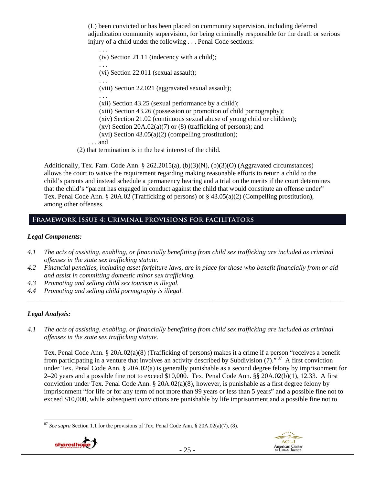(L) been convicted or has been placed on community supervision, including deferred adjudication community supervision, for being criminally responsible for the death or serious injury of a child under the following . . . Penal Code sections:

. . . (iv) Section 21.11 (indecency with a child); . . . (vi) Section 22.011 (sexual assault); . . . (viii) Section 22.021 (aggravated sexual assault); . . . (xii) Section 43.25 (sexual performance by a child); (xiii) Section 43.26 (possession or promotion of child pornography); (xiv) Section 21.02 (continuous sexual abuse of young child or children); (xv) Section  $20A.02(a)(7)$  or (8) (trafficking of persons); and (xvi) Section 43.05(a)(2) (compelling prostitution); . . . and (2) that termination is in the best interest of the child.

Additionally, Tex. Fam. Code Ann. § 262.2015(a), (b)(3)(N), (b)(3)(O) (Aggravated circumstances) allows the court to waive the requirement regarding making reasonable efforts to return a child to the child's parents and instead schedule a permanency hearing and a trial on the merits if the court determines that the child's "parent has engaged in conduct against the child that would constitute an offense under" Tex. Penal Code Ann. § 20A.02 (Trafficking of persons) or § 43.05(a)(2) (Compelling prostitution), among other offenses.

# **Framework Issue 4: Criminal provisions for facilitators**

# *Legal Components:*

- *4.1 The acts of assisting, enabling, or financially benefitting from child sex trafficking are included as criminal offenses in the state sex trafficking statute.*
- *4.2 Financial penalties, including asset forfeiture laws, are in place for those who benefit financially from or aid and assist in committing domestic minor sex trafficking.*
- *4.3 Promoting and selling child sex tourism is illegal.*
- *4.4 Promoting and selling child pornography is illegal.*  \_\_\_\_\_\_\_\_\_\_\_\_\_\_\_\_\_\_\_\_\_\_\_\_\_\_\_\_\_\_\_\_\_\_\_\_\_\_\_\_\_\_\_\_\_\_\_\_\_\_\_\_\_\_\_\_\_\_\_\_\_\_\_\_\_\_\_\_\_\_\_\_\_\_\_\_\_\_\_\_\_\_\_\_\_\_\_\_\_\_\_\_\_\_

# *Legal Analysis:*

*4.1 The acts of assisting, enabling, or financially benefitting from child sex trafficking are included as criminal offenses in the state sex trafficking statute.* 

Tex. Penal Code Ann. § 20A.02(a)(8) (Trafficking of persons) makes it a crime if a person "receives a benefit from participating in a venture that involves an activity described by Subdivision  $(7)$ ." <sup>87</sup> A first conviction under Tex. Penal Code Ann. § 20A.02(a) is generally punishable as a second degree felony by imprisonment for 2–20 years and a possible fine not to exceed \$10,000. Tex. Penal Code Ann. §§ 20A.02(b)(1), 12.33. A first conviction under Tex. Penal Code Ann. § 20A.02(a)(8), however, is punishable as a first degree felony by imprisonment "for life or for any term of not more than 99 years or less than 5 years" and a possible fine not to exceed \$10,000, while subsequent convictions are punishable by life imprisonment and a possible fine not to

 $\overline{a}$ <sup>87</sup> *See supra* Section 1.1 for the provisions of Tex. Penal Code Ann. § 20A.02(a)(7), (8).



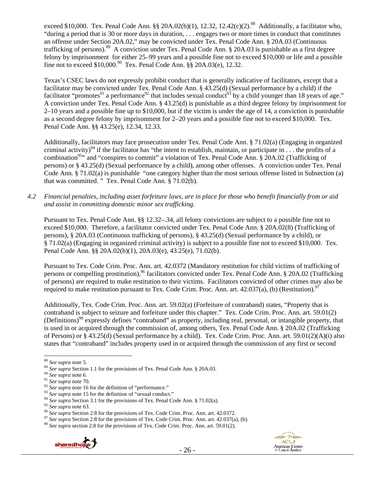exceed \$10,000. Tex. Penal Code Ann. §§ 20A.02(b)(1), 12.32, 12.42(c)(2).<sup>88</sup> Additionally, a facilitator who, "during a period that is 30 or more days in duration, . . . engages two or more times in conduct that constitutes an offense under Section 20A.02," may be convicted under Tex. Penal Code Ann. § 20A.03 (Continuous trafficking of persons).<sup>89</sup> A conviction under Tex. Penal Code Ann. § 20A.03 is punishable as a first degree felony by imprisonment for either 25–99 years and a possible fine not to exceed \$10,000 or life and a possible fine not to exceed  $$10,000$ .<sup>90</sup> Tex. Penal Code Ann.  $\hat{\S}$  20A.03(e), 12.32.

Texas's CSEC laws do not expressly prohibit conduct that is generally indicative of facilitators, except that a facilitator may be convicted under Tex. Penal Code Ann. § 43.25(d) (Sexual performance by a child) if the facilitator "promotes<sup>91</sup> a performance<sup>92</sup> that includes sexual conduct<sup>93</sup> by a child younger than 18 years of age." A conviction under Tex. Penal Code Ann. § 43.25(d) is punishable as a third degree felony by imprisonment for 2–10 years and a possible fine up to \$10,000, but if the victim is under the age of 14, a conviction is punishable as a second degree felony by imprisonment for 2–20 years and a possible fine not to exceed \$10,000. Tex. Penal Code Ann. §§ 43.25(e), 12.34, 12.33.

Additionally, facilitators may face prosecution under Tex. Penal Code Ann. § 71.02(a) (Engaging in organized criminal activity)<sup>94</sup> if the facilitator has "the intent to establish, maintain, or participate in . . . the profits of a combination<sup>95</sup>" and "conspires to commit" a violation of Tex. Penal Code Ann. § 20A.02 (Trafficking of persons) or § 43.25(d) (Sexual performance by a child), among other offenses. A conviction under Tex. Penal Code Ann. § 71.02(a) is punishable "one category higher than the most serious offense listed in Subsection (a) that was committed. " Tex. Penal Code Ann. § 71.02(b).

*4.2 Financial penalties, including asset forfeiture laws, are in place for those who benefit financially from or aid and assist in committing domestic minor sex trafficking.* 

Pursuant to Tex. Penal Code Ann. §§ 12.32–.34, all felony convictions are subject to a possible fine not to exceed \$10,000. Therefore, a facilitator convicted under Tex. Penal Code Ann. § 20A.02(8) (Trafficking of persons), § 20A.03 (Continuous trafficking of persons), § 43.25(d) (Sexual performance by a child), or § 71.02(a) (Engaging in organized criminal activity) is subject to a possible fine not to exceed \$10,000. Tex. Penal Code Ann. §§ 20A.02(b)(1), 20A.03(e), 43.25(e), 71.02(b).

Pursuant to Tex. Code Crim. Proc. Ann. art. 42.0372 (Mandatory restitution for child victims of trafficking of persons or compelling prostitution),<sup>96</sup> facilitators convicted under Tex. Penal Code Ann. § 20A.02 (Trafficking of persons) are required to make restitution to their victims. Facilitators convicted of other crimes may also be required to make restitution pursuant to Tex. Code Crim. Proc. Ann. art.  $42.037(a)$ , (b) (Restitution).<sup>97</sup>

Additionally, Tex. Code Crim. Proc. Ann. art. 59.02(a) (Forfeiture of contraband) states, "Property that is contraband is subject to seizure and forfeiture under this chapter." Tex. Code Crim. Proc. Ann. art. 59.01(2) (Definitions)98 expressly defines "contraband" as property, including real, personal, or intangible property, that is used in or acquired through the commission of, among others, Tex. Penal Code Ann. § 20A.02 (Trafficking of Persons) or § 43.25(d) (Sexual performance by a child). Tex. Code Crim. Proc. Ann. art. 59.01(2)(A)(i) also states that "contraband" includes property used in or acquired through the commission of any first or second



<sup>&</sup>lt;sup>88</sup> See supra note 5.

<sup>&</sup>lt;sup>89</sup> See supra Section 1.1 for the provisions of Tex. Penal Code Ann. § 20A.03.<br><sup>90</sup> See supra note 6.<br><sup>91</sup> See supra note 16 for the definition of "performance."<br><sup>92</sup> See supra note 15 for the definition of "sexual condu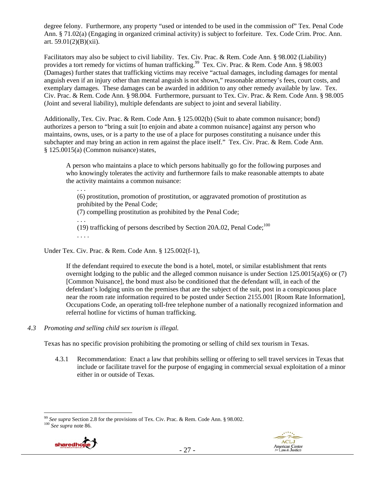degree felony. Furthermore, any property "used or intended to be used in the commission of" Tex. Penal Code Ann. § 71.02(a) (Engaging in organized criminal activity) is subject to forfeiture. Tex. Code Crim. Proc. Ann. art. 59.01(2)(B)(xii).

Facilitators may also be subject to civil liability. Tex. Civ. Prac. & Rem. Code Ann. § 98.002 (Liability) provides a tort remedy for victims of human trafficking.<sup>99</sup> Tex. Civ. Prac. & Rem. Code Ann. § 98.003 (Damages) further states that trafficking victims may receive "actual damages, including damages for mental anguish even if an injury other than mental anguish is not shown," reasonable attorney's fees, court costs, and exemplary damages. These damages can be awarded in addition to any other remedy available by law. Tex. Civ. Prac. & Rem. Code Ann. § 98.004. Furthermore, pursuant to Tex. Civ. Prac. & Rem. Code Ann. § 98.005 (Joint and several liability), multiple defendants are subject to joint and several liability.

Additionally, Tex. Civ. Prac. & Rem. Code Ann. § 125.002(b) (Suit to abate common nuisance; bond) authorizes a person to "bring a suit [to enjoin and abate a common nuisance] against any person who maintains, owns, uses, or is a party to the use of a place for purposes constituting a nuisance under this subchapter and may bring an action in rem against the place itself." Tex. Civ. Prac. & Rem. Code Ann.  $§ 125.0015(a)$  (Common nuisance) states,

A person who maintains a place to which persons habitually go for the following purposes and who knowingly tolerates the activity and furthermore fails to make reasonable attempts to abate the activity maintains a common nuisance:

. . . (6) prostitution, promotion of prostitution, or aggravated promotion of prostitution as prohibited by the Penal Code; (7) compelling prostitution as prohibited by the Penal Code; . . . (19) trafficking of persons described by Section 20A.02, Penal Code;<sup>100</sup> . . . .

Under Tex. Civ. Prac. & Rem. Code Ann. § 125.002(f-1),

If the defendant required to execute the bond is a hotel, motel, or similar establishment that rents overnight lodging to the public and the alleged common nuisance is under Section 125.0015(a)(6) or (7) [Common Nuisance], the bond must also be conditioned that the defendant will, in each of the defendant's lodging units on the premises that are the subject of the suit, post in a conspicuous place near the room rate information required to be posted under Section 2155.001 [Room Rate Information], Occupations Code, an operating toll-free telephone number of a nationally recognized information and referral hotline for victims of human trafficking.

*4.3 Promoting and selling child sex tourism is illegal.* 

Texas has no specific provision prohibiting the promoting or selling of child sex tourism in Texas.

4.3.1 Recommendation: Enact a law that prohibits selling or offering to sell travel services in Texas that include or facilitate travel for the purpose of engaging in commercial sexual exploitation of a minor either in or outside of Texas.





 $\overline{a}$ <sup>99</sup> *See supra* Section 2.8 for the provisions of Tex. Civ. Prac. & Rem. Code Ann. § 98.002. 100 *See supra* note 86.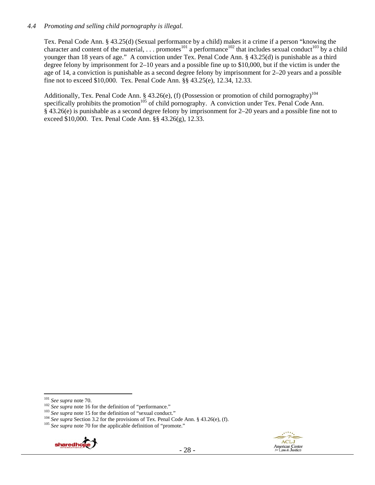## *4.4 Promoting and selling child pornography is illegal.*

Tex. Penal Code Ann. § 43.25(d) (Sexual performance by a child) makes it a crime if a person "knowing the character and content of the material, ... promotes<sup>101</sup> a performance<sup>102</sup> that includes sexual conduct<sup>103</sup> by a child younger than 18 years of age." A conviction under Tex. Penal Code Ann. § 43.25(d) is punishable as a third degree felony by imprisonment for 2–10 years and a possible fine up to \$10,000, but if the victim is under the age of 14, a conviction is punishable as a second degree felony by imprisonment for 2–20 years and a possible fine not to exceed \$10,000. Tex. Penal Code Ann. §§ 43.25(e), 12.34, 12.33.

Additionally, Tex. Penal Code Ann. § 43.26(e), (f) (Possession or promotion of child pornography)<sup>104</sup> specifically prohibits the promotion<sup> $105$ </sup> of child pornography. A conviction under Tex. Penal Code Ann. § 43.26(e) is punishable as a second degree felony by imprisonment for 2–20 years and a possible fine not to exceed \$10,000. Tex. Penal Code Ann. §§ 43.26(g), 12.33.





 $101$  See supra note 70.

<sup>&</sup>lt;sup>102</sup> See supra note 16 for the definition of "performance."<br><sup>102</sup> See supra note 15 for the definition of "sexual conduct."<br><sup>103</sup> See supra note 15 for the definition of "sexual conduct."<br><sup>104</sup> See supra Section 3.2 for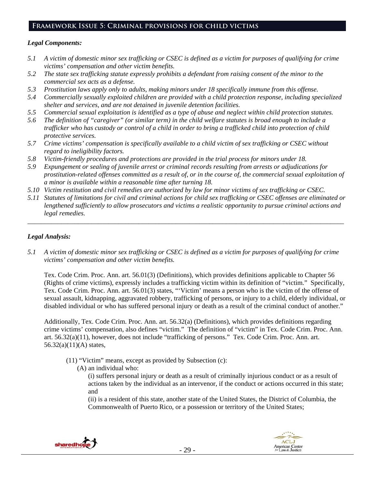# **Framework Issue 5: Criminal provisions for child victims**

## *Legal Components:*

- *5.1 A victim of domestic minor sex trafficking or CSEC is defined as a victim for purposes of qualifying for crime victims' compensation and other victim benefits.*
- *5.2 The state sex trafficking statute expressly prohibits a defendant from raising consent of the minor to the commercial sex acts as a defense.*
- *5.3 Prostitution laws apply only to adults, making minors under 18 specifically immune from this offense.*
- *5.4 Commercially sexually exploited children are provided with a child protection response, including specialized shelter and services, and are not detained in juvenile detention facilities.*
- *5.5 Commercial sexual exploitation is identified as a type of abuse and neglect within child protection statutes.*
- *5.6 The definition of "caregiver" (or similar term) in the child welfare statutes is broad enough to include a trafficker who has custody or control of a child in order to bring a trafficked child into protection of child protective services.*
- *5.7 Crime victims' compensation is specifically available to a child victim of sex trafficking or CSEC without regard to ineligibility factors.*
- *5.8 Victim-friendly procedures and protections are provided in the trial process for minors under 18.*
- *5.9 Expungement or sealing of juvenile arrest or criminal records resulting from arrests or adjudications for prostitution-related offenses committed as a result of, or in the course of, the commercial sexual exploitation of a minor is available within a reasonable time after turning 18.*
- *5.10 Victim restitution and civil remedies are authorized by law for minor victims of sex trafficking or CSEC.*
- *5.11 Statutes of limitations for civil and criminal actions for child sex trafficking or CSEC offenses are eliminated or lengthened sufficiently to allow prosecutors and victims a realistic opportunity to pursue criminal actions and legal remedies.*

\_\_\_\_\_\_\_\_\_\_\_\_\_\_\_\_\_\_\_\_\_\_\_\_\_\_\_\_\_\_\_\_\_\_\_\_\_\_\_\_\_\_\_\_\_\_\_\_\_\_\_\_\_\_\_\_\_\_\_\_\_\_\_\_\_\_\_\_\_\_\_\_\_\_\_\_\_\_\_\_\_\_\_\_\_\_\_\_\_\_\_\_\_\_

# *Legal Analysis:*

*5.1 A victim of domestic minor sex trafficking or CSEC is defined as a victim for purposes of qualifying for crime victims' compensation and other victim benefits.* 

Tex. Code Crim. Proc. Ann. art. 56.01(3) (Definitions), which provides definitions applicable to Chapter 56 (Rights of crime victims), expressly includes a trafficking victim within its definition of "victim." Specifically, Tex. Code Crim. Proc. Ann. art. 56.01(3) states, "'Victim' means a person who is the victim of the offense of sexual assault, kidnapping, aggravated robbery, trafficking of persons, or injury to a child, elderly individual, or disabled individual or who has suffered personal injury or death as a result of the criminal conduct of another."

Additionally, Tex. Code Crim. Proc. Ann. art. 56.32(a) (Definitions), which provides definitions regarding crime victims' compensation, also defines "victim." The definition of "victim" in Tex. Code Crim. Proc. Ann. art. 56.32(a)(11), however, does not include "trafficking of persons." Tex. Code Crim. Proc. Ann. art. 56.32(a)(11)(A) states,

- (11) "Victim" means, except as provided by Subsection (c):
	- (A) an individual who:

(i) suffers personal injury or death as a result of criminally injurious conduct or as a result of actions taken by the individual as an intervenor, if the conduct or actions occurred in this state; and

(ii) is a resident of this state, another state of the United States, the District of Columbia, the Commonwealth of Puerto Rico, or a possession or territory of the United States;



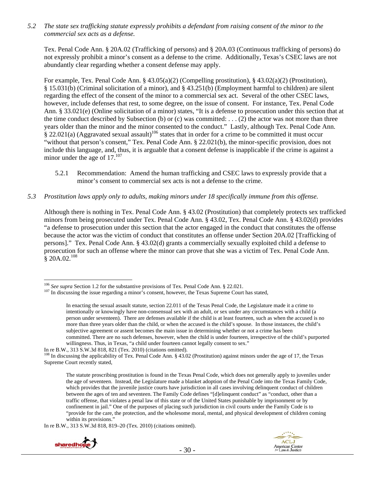*5.2 The state sex trafficking statute expressly prohibits a defendant from raising consent of the minor to the commercial sex acts as a defense.* 

Tex. Penal Code Ann. § 20A.02 (Trafficking of persons) and § 20A.03 (Continuous trafficking of persons) do not expressly prohibit a minor's consent as a defense to the crime. Additionally, Texas's CSEC laws are not abundantly clear regarding whether a consent defense may apply.

For example, Tex. Penal Code Ann. § 43.05(a)(2) (Compelling prostitution), § 43.02(a)(2) (Prostitution), § 15.031(b) (Criminal solicitation of a minor), and § 43.251(b) (Employment harmful to children) are silent regarding the effect of the consent of the minor to a commercial sex act. Several of the other CSEC laws, however, include defenses that rest, to some degree, on the issue of consent. For instance, Tex. Penal Code Ann. § 33.021(e) (Online solicitation of a minor) states, "It is a defense to prosecution under this section that at the time conduct described by Subsection (b) or (c) was committed: ... (2) the actor was not more than three years older than the minor and the minor consented to the conduct." Lastly, although Tex. Penal Code Ann.  $\frac{8}{9}$  22.021(a) (Aggravated sexual assault)<sup>106</sup> states that in order for a crime to be committed it must occur "without that person's consent," Tex. Penal Code Ann. § 22.021(b), the minor-specific provision, does not include this language, and, thus, it is arguable that a consent defense is inapplicable if the crime is against a minor under the age of  $17.^{107}$ 

- 5.2.1 Recommendation: Amend the human trafficking and CSEC laws to expressly provide that a minor's consent to commercial sex acts is not a defense to the crime.
- *5.3 Prostitution laws apply only to adults, making minors under 18 specifically immune from this offense.*

Although there is nothing in Tex. Penal Code Ann. § 43.02 (Prostitution) that completely protects sex trafficked minors from being prosecuted under Tex. Penal Code Ann. § 43.02, Tex. Penal Code Ann. § 43.02(d) provides "a defense to prosecution under this section that the actor engaged in the conduct that constitutes the offense because the actor was the victim of conduct that constitutes an offense under Section 20A.02 [Trafficking of persons]." Tex. Penal Code Ann. § 43.02(d) grants a commercially sexually exploited child a defense to prosecution for such an offense where the minor can prove that she was a victim of Tex. Penal Code Ann.  $$20A.02.<sup>108</sup>$ 

In re B.W., 313 S.W.3d 818, 819–20 (Tex. 2010) (citations omitted).



<sup>&</sup>lt;sup>106</sup> See supra Section 1.2 for the substantive provisions of Tex. Penal Code Ann. § 22.021.

<sup>&</sup>lt;sup>107</sup> In discussing the issue regarding a minor's consent, however, the Texas Supreme Court has stated,

In enacting the sexual assault statute, section 22.011 of the Texas Penal Code, the Legislature made it a crime to intentionally or knowingly have non-consensual sex with an adult, or sex under any circumstances with a child (a person under seventeen). There are defenses available if the child is at least fourteen, such as when the accused is no more than three years older than the child, or when the accused is the child's spouse. In those instances, the child's subjective agreement or assent becomes the main issue in determining whether or not a crime has been committed. There are no such defenses, however, when the child is under fourteen, irrespective of the child's purported willingness. Thus, in Texas, "a child under fourteen cannot legally consent to sex."

In re B.W., 313 S.W.3d 818, 821 (Tex. 2010) (citations omitted). 108 In discussing the applicability of Tex. Penal Code Ann. § 43.02 (Prostitution) against minors under the age of 17, the Texas Supreme Court recently stated,

The statute proscribing prostitution is found in the Texas Penal Code, which does not generally apply to juveniles under the age of seventeen. Instead, the Legislature made a blanket adoption of the Penal Code into the Texas Family Code, which provides that the juvenile justice courts have jurisdiction in all cases involving delinquent conduct of children between the ages of ten and seventeen. The Family Code defines "[d]elinquent conduct" as "conduct, other than a traffic offense, that violates a penal law of this state or of the United States punishable by imprisonment or by confinement in jail." One of the purposes of placing such jurisdiction in civil courts under the Family Code is to "provide for the care, the protection, and the wholesome moral, mental, and physical development of children coming within its provisions."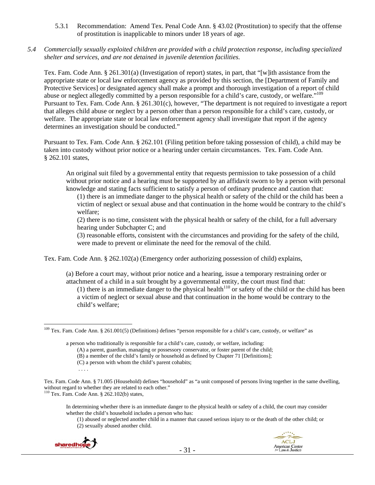- 5.3.1 Recommendation: Amend Tex. Penal Code Ann. § 43.02 (Prostitution) to specify that the offense of prostitution is inapplicable to minors under 18 years of age.
- *5.4 Commercially sexually exploited children are provided with a child protection response, including specialized shelter and services, and are not detained in juvenile detention facilities.*

Tex. Fam. Code Ann. § 261.301(a) (Investigation of report) states, in part, that "[w]ith assistance from the appropriate state or local law enforcement agency as provided by this section, the [Department of Family and Protective Services] or designated agency shall make a prompt and thorough investigation of a report of child abuse or neglect allegedly committed by a person responsible for a child's care, custody, or welfare."<sup>109</sup> Pursuant to Tex. Fam. Code Ann. § 261.301(c), however, "The department is not required to investigate a report that alleges child abuse or neglect by a person other than a person responsible for a child's care, custody, or welfare. The appropriate state or local law enforcement agency shall investigate that report if the agency determines an investigation should be conducted."

Pursuant to Tex. Fam. Code Ann. § 262.101 (Filing petition before taking possession of child), a child may be taken into custody without prior notice or a hearing under certain circumstances. Tex. Fam. Code Ann. § 262.101 states,

An original suit filed by a governmental entity that requests permission to take possession of a child without prior notice and a hearing must be supported by an affidavit sworn to by a person with personal knowledge and stating facts sufficient to satisfy a person of ordinary prudence and caution that:

(1) there is an immediate danger to the physical health or safety of the child or the child has been a victim of neglect or sexual abuse and that continuation in the home would be contrary to the child's welfare;

(2) there is no time, consistent with the physical health or safety of the child, for a full adversary hearing under Subchapter C; and

(3) reasonable efforts, consistent with the circumstances and providing for the safety of the child, were made to prevent or eliminate the need for the removal of the child.

Tex. Fam. Code Ann. § 262.102(a) (Emergency order authorizing possession of child) explains,

(a) Before a court may, without prior notice and a hearing, issue a temporary restraining order or attachment of a child in a suit brought by a governmental entity, the court must find that:

(1) there is an immediate danger to the physical health<sup>110</sup> or safety of the child or the child has been a victim of neglect or sexual abuse and that continuation in the home would be contrary to the child's welfare;

<sup>(1)</sup> abused or neglected another child in a manner that caused serious injury to or the death of the other child; or (2) sexually abused another child.



<sup>&</sup>lt;sup>109</sup> Tex. Fam. Code Ann. § 261.001(5) (Definitions) defines "person responsible for a child's care, custody, or welfare" as

a person who traditionally is responsible for a child's care, custody, or welfare, including:

<sup>(</sup>A) a parent, guardian, managing or possessory conservator, or foster parent of the child;

<sup>(</sup>B) a member of the child's family or household as defined by Chapter 71 [Definitions];

<sup>(</sup>C) a person with whom the child's parent cohabits;

Tex. Fam. Code Ann. § 71.005 (Household) defines "household" as "a unit composed of persons living together in the same dwelling, without regard to whether they are related to each other." <sup>110</sup> Tex. Fam. Code Ann. § 262.102(b) states,

In determining whether there is an immediate danger to the physical health or safety of a child, the court may consider whether the child's household includes a person who has: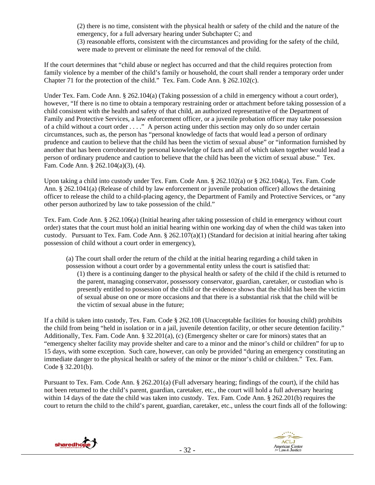(2) there is no time, consistent with the physical health or safety of the child and the nature of the emergency, for a full adversary hearing under Subchapter C; and (3) reasonable efforts, consistent with the circumstances and providing for the safety of the child, were made to prevent or eliminate the need for removal of the child.

If the court determines that "child abuse or neglect has occurred and that the child requires protection from family violence by a member of the child's family or household, the court shall render a temporary order under Chapter 71 for the protection of the child." Tex. Fam. Code Ann. § 262.102(c).

Under Tex. Fam. Code Ann. § 262.104(a) (Taking possession of a child in emergency without a court order), however, "If there is no time to obtain a temporary restraining order or attachment before taking possession of a child consistent with the health and safety of that child, an authorized representative of the Department of Family and Protective Services, a law enforcement officer, or a juvenile probation officer may take possession of a child without a court order . . . ." A person acting under this section may only do so under certain circumstances, such as, the person has "personal knowledge of facts that would lead a person of ordinary prudence and caution to believe that the child has been the victim of sexual abuse" or "information furnished by another that has been corroborated by personal knowledge of facts and all of which taken together would lead a person of ordinary prudence and caution to believe that the child has been the victim of sexual abuse." Tex. Fam. Code Ann. § 262.104(a)(3), (4).

Upon taking a child into custody under Tex. Fam. Code Ann. § 262.102(a) or § 262.104(a), Tex. Fam. Code Ann. § 262.1041(a) (Release of child by law enforcement or juvenile probation officer) allows the detaining officer to release the child to a child-placing agency, the Department of Family and Protective Services, or "any other person authorized by law to take possession of the child."

Tex. Fam. Code Ann. § 262.106(a) (Initial hearing after taking possession of child in emergency without court order) states that the court must hold an initial hearing within one working day of when the child was taken into custody. Pursuant to Tex. Fam. Code Ann. § 262.107(a)(1) (Standard for decision at initial hearing after taking possession of child without a court order in emergency),

(a) The court shall order the return of the child at the initial hearing regarding a child taken in possession without a court order by a governmental entity unless the court is satisfied that:

(1) there is a continuing danger to the physical health or safety of the child if the child is returned to the parent, managing conservator, possessory conservator, guardian, caretaker, or custodian who is presently entitled to possession of the child or the evidence shows that the child has been the victim of sexual abuse on one or more occasions and that there is a substantial risk that the child will be the victim of sexual abuse in the future;

If a child is taken into custody, Tex. Fam. Code § 262.108 (Unacceptable facilities for housing child) prohibits the child from being "held in isolation or in a jail, juvenile detention facility, or other secure detention facility." Additionally, Tex. Fam. Code Ann. § 32.201(a), (c) (Emergency shelter or care for minors) states that an "emergency shelter facility may provide shelter and care to a minor and the minor's child or children" for up to 15 days, with some exception. Such care, however, can only be provided "during an emergency constituting an immediate danger to the physical health or safety of the minor or the minor's child or children." Tex. Fam. Code § 32.201(b).

Pursuant to Tex. Fam. Code Ann. § 262.201(a) (Full adversary hearing; findings of the court), if the child has not been returned to the child's parent, guardian, caretaker, etc., the court will hold a full adversary hearing within 14 days of the date the child was taken into custody. Tex. Fam. Code Ann. § 262.201(b) requires the court to return the child to the child's parent, guardian, caretaker, etc., unless the court finds all of the following:



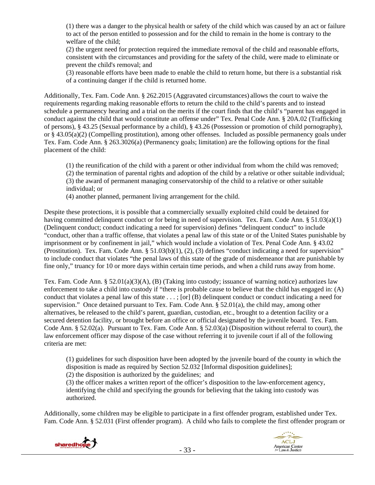(1) there was a danger to the physical health or safety of the child which was caused by an act or failure to act of the person entitled to possession and for the child to remain in the home is contrary to the welfare of the child;

(2) the urgent need for protection required the immediate removal of the child and reasonable efforts, consistent with the circumstances and providing for the safety of the child, were made to eliminate or prevent the child's removal; and

(3) reasonable efforts have been made to enable the child to return home, but there is a substantial risk of a continuing danger if the child is returned home.

Additionally, Tex. Fam. Code Ann. § 262.2015 (Aggravated circumstances) allows the court to waive the requirements regarding making reasonable efforts to return the child to the child's parents and to instead schedule a permanency hearing and a trial on the merits if the court finds that the child's "parent has engaged in conduct against the child that would constitute an offense under" Tex. Penal Code Ann. § 20A.02 (Trafficking of persons), § 43.25 (Sexual performance by a child), § 43.26 (Possession or promotion of child pornography), or § 43.05(a)(2) (Compelling prostitution), among other offenses. Included as possible permanency goals under Tex. Fam. Code Ann. § 263.3026(a) (Permanency goals; limitation) are the following options for the final placement of the child:

(1) the reunification of the child with a parent or other individual from whom the child was removed;

(2) the termination of parental rights and adoption of the child by a relative or other suitable individual;

(3) the award of permanent managing conservatorship of the child to a relative or other suitable individual; or

(4) another planned, permanent living arrangement for the child.

Despite these protections, it is possible that a commercially sexually exploited child could be detained for having committed delinquent conduct or for being in need of supervision. Tex. Fam. Code Ann. § 51.03(a)(1) (Delinquent conduct; conduct indicating a need for supervision) defines "delinquent conduct" to include "conduct, other than a traffic offense, that violates a penal law of this state or of the United States punishable by imprisonment or by confinement in jail," which would include a violation of Tex. Penal Code Ann. § 43.02 (Prostitution). Tex. Fam. Code Ann. § 51.03(b)(1), (2), (3) defines "conduct indicating a need for supervision" to include conduct that violates "the penal laws of this state of the grade of misdemeanor that are punishable by fine only," truancy for 10 or more days within certain time periods, and when a child runs away from home.

Tex. Fam. Code Ann. § 52.01(a)(3)(A), (B) (Taking into custody; issuance of warning notice) authorizes law enforcement to take a child into custody if "there is probable cause to believe that the child has engaged in: (A) conduct that violates a penal law of this state . . . ; [or] (B) delinquent conduct or conduct indicating a need for supervision." Once detained pursuant to Tex. Fam. Code Ann. § 52.01(a), the child may, among other alternatives, be released to the child's parent, guardian, custodian, etc., brought to a detention facility or a secured detention facility, or brought before an office or official designated by the juvenile board. Tex. Fam. Code Ann. § 52.02(a). Pursuant to Tex. Fam. Code Ann. § 52.03(a) (Disposition without referral to court), the law enforcement officer may dispose of the case without referring it to juvenile court if all of the following criteria are met:

(1) guidelines for such disposition have been adopted by the juvenile board of the county in which the disposition is made as required by Section 52.032 [Informal disposition guidelines];

(2) the disposition is authorized by the guidelines; and

(3) the officer makes a written report of the officer's disposition to the law-enforcement agency, identifying the child and specifying the grounds for believing that the taking into custody was authorized.

Additionally, some children may be eligible to participate in a first offender program, established under Tex. Fam. Code Ann. § 52.031 (First offender program). A child who fails to complete the first offender program or



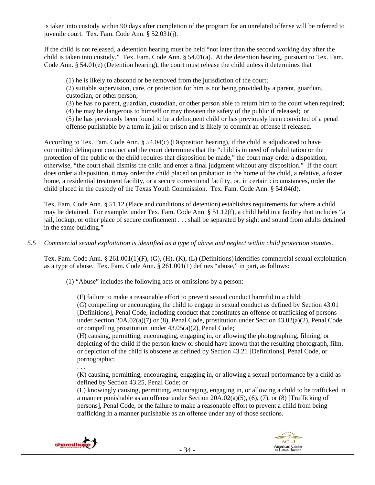is taken into custody within 90 days after completion of the program for an unrelated offense will be referred to juvenile court. Tex. Fam. Code Ann. § 52.031(j).

If the child is not released, a detention hearing must be held "not later than the second working day after the child is taken into custody." Tex. Fam. Code Ann. § 54.01(a). At the detention hearing, pursuant to Tex. Fam. Code Ann. § 54.01(e) (Detention hearing), the court must release the child unless it determines that

(1) he is likely to abscond or be removed from the jurisdiction of the court; (2) suitable supervision, care, or protection for him is not being provided by a parent, guardian, custodian, or other person; (3) he has no parent, guardian, custodian, or other person able to return him to the court when required; (4) he may be dangerous to himself or may threaten the safety of the public if released; or (5) he has previously been found to be a delinquent child or has previously been convicted of a penal offense punishable by a term in jail or prison and is likely to commit an offense if released.

According to Tex. Fam. Code Ann. § 54.04(c) (Disposition hearing), if the child is adjudicated to have committed delinquent conduct and the court determines that the "child is in need of rehabilitation or the protection of the public or the child requires that disposition be made," the court may order a disposition, otherwise, "the court shall dismiss the child and enter a final judgment without any disposition." If the court does order a disposition, it may order the child placed on probation in the home of the child, a relative, a foster home, a residential treatment facility, or a secure correctional facility, or, in certain circumstances, order the child placed in the custody of the Texas Youth Commission. Tex. Fam. Code Ann. § 54.04(d).

Tex. Fam. Code Ann. § 51.12 (Place and conditions of detention) establishes requirements for where a child may be detained. For example, under Tex. Fam. Code Ann. § 51.12(f), a child held in a facility that includes "a jail, lockup, or other place of secure confinement . . . shall be separated by sight and sound from adults detained in the same building."

## *5.5 Commercial sexual exploitation is identified as a type of abuse and neglect within child protection statutes.*

Tex. Fam. Code Ann. § 261.001(1)(F), (G), (H), (K), (L) (Definitions)identifies commercial sexual exploitation as a type of abuse. Tex. Fam. Code Ann. § 261.001(1) defines "abuse," in part, as follows:

(1) "Abuse" includes the following acts or omissions by a person:

. . . (F) failure to make a reasonable effort to prevent sexual conduct harmful to a child; (G) compelling or encouraging the child to engage in sexual conduct as defined by Section 43.01 [Definitions], Penal Code, including conduct that constitutes an offense of trafficking of persons under Section 20A.02(a)(7) or (8), Penal Code, prostitution under Section 43.02(a)(2), Penal Code, or compelling prostitution under 43.05(a)(2), Penal Code;

(H) causing, permitting, encouraging, engaging in, or allowing the photographing, filming, or depicting of the child if the person knew or should have known that the resulting photograph, film, or depiction of the child is obscene as defined by Section 43.21 [Definitions], Penal Code, or pornographic;

. . .

(K) causing, permitting, encouraging, engaging in, or allowing a sexual performance by a child as defined by Section 43.25, Penal Code; or

(L) knowingly causing, permitting, encouraging, engaging in, or allowing a child to be trafficked in a manner punishable as an offense under Section  $20A.02(a)(5)$ ,  $(6)$ ,  $(7)$ , or  $(8)$  [Trafficking of persons], Penal Code, or the failure to make a reasonable effort to prevent a child from being trafficking in a manner punishable as an offense under any of those sections.



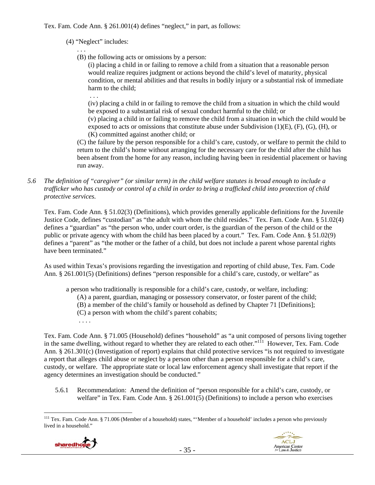Tex. Fam. Code Ann. § 261.001(4) defines "neglect," in part, as follows:

## (4) "Neglect" includes:

. . .

. . . (B) the following acts or omissions by a person:

(i) placing a child in or failing to remove a child from a situation that a reasonable person would realize requires judgment or actions beyond the child's level of maturity, physical condition, or mental abilities and that results in bodily injury or a substantial risk of immediate harm to the child;

(iv) placing a child in or failing to remove the child from a situation in which the child would be exposed to a substantial risk of sexual conduct harmful to the child; or

(v) placing a child in or failing to remove the child from a situation in which the child would be exposed to acts or omissions that constitute abuse under Subdivision  $(1)(E)$ ,  $(F)$ ,  $(G)$ ,  $(H)$ , or (K) committed against another child; or

(C) the failure by the person responsible for a child's care, custody, or welfare to permit the child to return to the child's home without arranging for the necessary care for the child after the child has been absent from the home for any reason, including having been in residential placement or having run away.

*5.6 The definition of "caregiver" (or similar term) in the child welfare statutes is broad enough to include a trafficker who has custody or control of a child in order to bring a trafficked child into protection of child protective services.* 

Tex. Fam. Code Ann. § 51.02(3) (Definitions), which provides generally applicable definitions for the Juvenile Justice Code, defines "custodian" as "the adult with whom the child resides." Tex. Fam. Code Ann. § 51.02(4) defines a "guardian" as "the person who, under court order, is the guardian of the person of the child or the public or private agency with whom the child has been placed by a court." Tex. Fam. Code Ann. § 51.02(9) defines a "parent" as "the mother or the father of a child, but does not include a parent whose parental rights have been terminated."

As used within Texas's provisions regarding the investigation and reporting of child abuse, Tex. Fam. Code Ann. § 261.001(5) (Definitions) defines "person responsible for a child's care, custody, or welfare" as

a person who traditionally is responsible for a child's care, custody, or welfare, including:

- (A) a parent, guardian, managing or possessory conservator, or foster parent of the child;
- (B) a member of the child's family or household as defined by Chapter 71 [Definitions];
- (C) a person with whom the child's parent cohabits;
- . . . .

Tex. Fam. Code Ann. § 71.005 (Household) defines "household" as "a unit composed of persons living together in the same dwelling, without regard to whether they are related to each other."<sup>11</sup> However, Tex. Fam. Code Ann. § 261.301(c) (Investigation of report) explains that child protective services "is not required to investigate a report that alleges child abuse or neglect by a person other than a person responsible for a child's care, custody, or welfare. The appropriate state or local law enforcement agency shall investigate that report if the agency determines an investigation should be conducted."

5.6.1 Recommendation: Amend the definition of "person responsible for a child's care, custody, or welfare" in Tex. Fam. Code Ann. § 261.001(5) (Definitions) to include a person who exercises

 $\overline{a}$ <sup>111</sup> Tex. Fam. Code Ann. § 71.006 (Member of a household) states, "'Member of a household' includes a person who previously lived in a household."



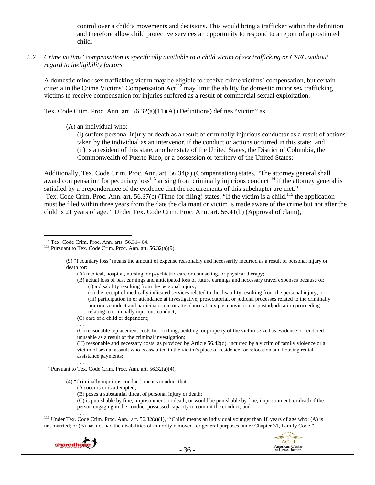control over a child's movements and decisions. This would bring a trafficker within the definition and therefore allow child protective services an opportunity to respond to a report of a prostituted child.

*5.7 Crime victims' compensation is specifically available to a child victim of sex trafficking or CSEC without regard to ineligibility factors.* 

A domestic minor sex trafficking victim may be eligible to receive crime victims' compensation, but certain criteria in the Crime Victims' Compensation Act<sup>112</sup> may limit the ability for domestic minor sex trafficking victims to receive compensation for injuries suffered as a result of commercial sexual exploitation.

Tex. Code Crim. Proc. Ann. art. 56.32(a)(11)(A) (Definitions) defines "victim" as

(A) an individual who:

(i) suffers personal injury or death as a result of criminally injurious conductor as a result of actions taken by the individual as an intervenor, if the conduct or actions occurred in this state; and (ii) is a resident of this state, another state of the United States, the District of Columbia, the Commonwealth of Puerto Rico, or a possession or territory of the United States;

Additionally, Tex. Code Crim. Proc. Ann. art. 56.34(a) (Compensation) states, "The attorney general shall award compensation for pecuniary  $loss<sup>113</sup>$  arising from criminally injurious conduct<sup>114</sup> if the attorney general is satisfied by a preponderance of the evidence that the requirements of this subchapter are met." Tex. Code Crim. Proc. Ann. art.  $56.37(c)$  (Time for filing) states, "If the victim is a child,<sup>115</sup> the application must be filed within three years from the date the claimant or victim is made aware of the crime but not after the child is 21 years of age." Under Tex. Code Crim. Proc. Ann. art. 56.41(b) (Approval of claim),

(A) medical, hospital, nursing, or psychiatric care or counseling, or physical therapy;

(ii) the receipt of medically indicated services related to the disability resulting from the personal injury; or (iii) participation in or attendance at investigative, prosecutorial, or judicial processes related to the criminally injurious conduct and participation in or attendance at any postconviction or postadjudication proceeding relating to criminally injurious conduct;

(C) care of a child or dependent;

<sup>114</sup> Pursuant to Tex. Code Crim. Proc. Ann. art. 56.32(a)(4),

(4) "Criminally injurious conduct" means conduct that:

- (A) occurs or is attempted;
- (B) poses a substantial threat of personal injury or death;

(C) is punishable by fine, imprisonment, or death, or would be punishable by fine, imprisonment, or death if the person engaging in the conduct possessed capacity to commit the conduct; and

<sup>115</sup> Under Tex. Code Crim. Proc. Ann. art. 56.32(a)(1), "'Child' means an individual younger than 18 years of age who: (A) is not married; or (B) has not had the disabilities of minority removed for general purposes under Chapter 31, Family Code."





 $\overline{a}$ 

<sup>&</sup>lt;sup>112</sup> Tex. Code Crim. Proc. Ann. arts. 56.31–.64. <sup>113</sup> Pursuant to Tex. Code Crim. Proc. Ann. art. 56.32(a)(9),

<sup>(9) &</sup>quot;Pecuniary loss" means the amount of expense reasonably and necessarily incurred as a result of personal injury or death for:

<sup>(</sup>B) actual loss of past earnings and anticipated loss of future earnings and necessary travel expenses because of: (i) a disability resulting from the personal injury;

<sup>. . .</sup> 

<sup>(</sup>G) reasonable replacement costs for clothing, bedding, or property of the victim seized as evidence or rendered unusable as a result of the criminal investigation;

<sup>(</sup>H) reasonable and necessary costs, as provided by Article 56.42(d), incurred by a victim of family violence or a victim of sexual assault who is assaulted in the victim's place of residence for relocation and housing rental assistance payments;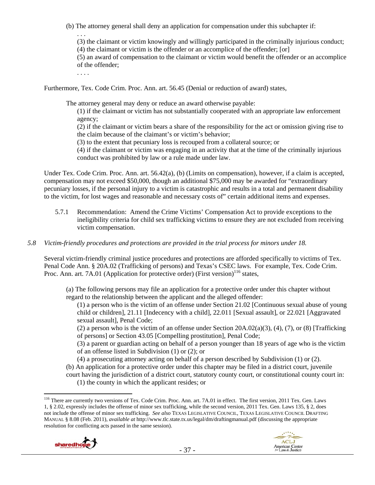(b) The attorney general shall deny an application for compensation under this subchapter if:

. . .

(3) the claimant or victim knowingly and willingly participated in the criminally injurious conduct;

(4) the claimant or victim is the offender or an accomplice of the offender; [or]

(5) an award of compensation to the claimant or victim would benefit the offender or an accomplice of the offender;

. . . .

Furthermore, Tex. Code Crim. Proc. Ann. art. 56.45 (Denial or reduction of award) states,

The attorney general may deny or reduce an award otherwise payable:

(1) if the claimant or victim has not substantially cooperated with an appropriate law enforcement agency;

(2) if the claimant or victim bears a share of the responsibility for the act or omission giving rise to the claim because of the claimant's or victim's behavior;

(3) to the extent that pecuniary loss is recouped from a collateral source; or

(4) if the claimant or victim was engaging in an activity that at the time of the criminally injurious conduct was prohibited by law or a rule made under law.

Under Tex. Code Crim. Proc. Ann. art. 56.42(a), (b) (Limits on compensation), however, if a claim is accepted, compensation may not exceed \$50,000, though an additional \$75,000 may be awarded for "extraordinary pecuniary losses, if the personal injury to a victim is catastrophic and results in a total and permanent disability to the victim, for lost wages and reasonable and necessary costs of" certain additional items and expenses.

5.7.1 Recommendation: Amend the Crime Victims' Compensation Act to provide exceptions to the ineligibility criteria for child sex trafficking victims to ensure they are not excluded from receiving victim compensation.

# *5.8 Victim-friendly procedures and protections are provided in the trial process for minors under 18.*

Several victim-friendly criminal justice procedures and protections are afforded specifically to victims of Tex. Penal Code Ann. § 20A.02 (Trafficking of persons) and Texas's CSEC laws. For example, Tex. Code Crim. Proc. Ann. art. 7A.01 (Application for protective order) (First version)<sup>116</sup> states,

(a) The following persons may file an application for a protective order under this chapter without regard to the relationship between the applicant and the alleged offender:

(1) a person who is the victim of an offense under Section 21.02 [Continuous sexual abuse of young child or children], 21.11 [Indecency with a child], 22.011 [Sexual assault], or 22.021 [Aggravated sexual assault], Penal Code;

(2) a person who is the victim of an offense under Section  $20A.02(a)(3)$ , (4), (7), or (8) [Trafficking of persons] or Section 43.05 [Compelling prostitution], Penal Code;

(3) a parent or guardian acting on behalf of a person younger than 18 years of age who is the victim of an offense listed in Subdivision (1) or (2); or

(4) a prosecuting attorney acting on behalf of a person described by Subdivision (1) or (2).

(b) An application for a protective order under this chapter may be filed in a district court, juvenile

court having the jurisdiction of a district court, statutory county court, or constitutional county court in: (1) the county in which the applicant resides; or

<sup>&</sup>lt;sup>116</sup> There are currently two versions of Tex. Code Crim. Proc. Ann. art. 7A.01 in effect. The first version, 2011 Tex. Gen. Laws 1, § 2.02, expressly includes the offense of minor sex trafficking, while the second version, 2011 Tex. Gen. Laws 135, § 2, does not include the offense of minor sex trafficking. *See also* TEXAS LEGISLATIVE COUNCIL, TEXAS LEGISLATIVE COUNCIL DRAFTING MANUAL § 8.08 (Feb. 2011), *available at* http://www.tlc.state.tx.us/legal/dm/draftingmanual.pdf (discussing the appropriate resolution for conflicting acts passed in the same session).

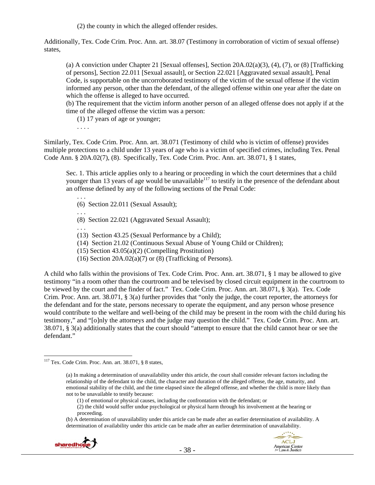(2) the county in which the alleged offender resides.

Additionally, Tex. Code Crim. Proc. Ann. art. 38.07 (Testimony in corroboration of victim of sexual offense) states,

(a) A conviction under Chapter 21 [Sexual offenses], Section 20A.02(a)(3), (4), (7), or (8) [Trafficking of persons], Section 22.011 [Sexual assault], or Section 22.021 [Aggravated sexual assault], Penal Code, is supportable on the uncorroborated testimony of the victim of the sexual offense if the victim informed any person, other than the defendant, of the alleged offense within one year after the date on which the offense is alleged to have occurred.

(b) The requirement that the victim inform another person of an alleged offense does not apply if at the time of the alleged offense the victim was a person:

(1) 17 years of age or younger;

. . . .

Similarly, Tex. Code Crim. Proc. Ann. art. 38.071 (Testimony of child who is victim of offense) provides multiple protections to a child under 13 years of age who is a victim of specified crimes, including Tex. Penal Code Ann. § 20A.02(7), (8). Specifically, Tex. Code Crim. Proc. Ann. art. 38.071, § 1 states,

Sec. 1. This article applies only to a hearing or proceeding in which the court determines that a child younger than 13 years of age would be unavailable<sup>117</sup> to testify in the presence of the defendant about an offense defined by any of the following sections of the Penal Code:

. . . (6) Section 22.011 (Sexual Assault);

. . . (8) Section 22.021 (Aggravated Sexual Assault);

. . .

(13) Section 43.25 (Sexual Performance by a Child);

(14) Section 21.02 (Continuous Sexual Abuse of Young Child or Children);

(15) Section 43.05(a)(2) (Compelling Prostitution)

(16) Section  $20A.02(a)(7)$  or (8) (Trafficking of Persons).

A child who falls within the provisions of Tex. Code Crim. Proc. Ann. art. 38.071, § 1 may be allowed to give testimony "in a room other than the courtroom and be televised by closed circuit equipment in the courtroom to be viewed by the court and the finder of fact." Tex. Code Crim. Proc. Ann. art. 38.071, § 3(a). Tex. Code Crim. Proc. Ann. art. 38.071, § 3(a) further provides that "only the judge, the court reporter, the attorneys for the defendant and for the state, persons necessary to operate the equipment, and any person whose presence would contribute to the welfare and well-being of the child may be present in the room with the child during his testimony," and "[o]nly the attorneys and the judge may question the child." Tex. Code Crim. Proc. Ann. art. 38.071, § 3(a) additionally states that the court should "attempt to ensure that the child cannot hear or see the defendant."

(1) of emotional or physical causes, including the confrontation with the defendant; or

(b) A determination of unavailability under this article can be made after an earlier determination of availability. A determination of availability under this article can be made after an earlier determination of unavailability.





 $117$  Tex. Code Crim. Proc. Ann. art. 38.071, § 8 states,

<sup>(</sup>a) In making a determination of unavailability under this article, the court shall consider relevant factors including the relationship of the defendant to the child, the character and duration of the alleged offense, the age, maturity, and emotional stability of the child, and the time elapsed since the alleged offense, and whether the child is more likely than not to be unavailable to testify because:

<sup>(2)</sup> the child would suffer undue psychological or physical harm through his involvement at the hearing or proceeding.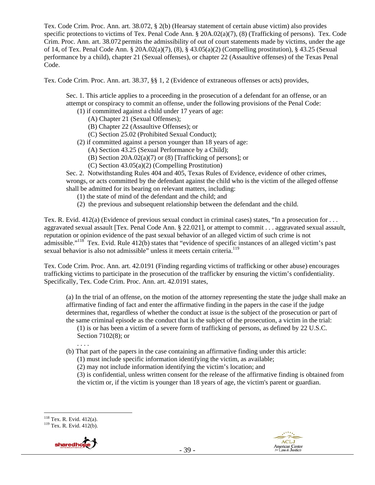Tex. Code Crim. Proc. Ann. art. 38.072, § 2(b) (Hearsay statement of certain abuse victim) also provides specific protections to victims of Tex. Penal Code Ann. § 20A.02(a)(7), (8) (Trafficking of persons). Tex. Code Crim. Proc. Ann. art. 38.072 permits the admissibility of out of court statements made by victims, under the age of 14, of Tex. Penal Code Ann. § 20A.02(a)(7), (8), § 43.05(a)(2) (Compelling prostitution), § 43.25 (Sexual performance by a child), chapter 21 (Sexual offenses), or chapter 22 (Assaultive offenses) of the Texas Penal Code.

Tex. Code Crim. Proc. Ann. art. 38.37, §§ 1, 2 (Evidence of extraneous offenses or acts) provides,

Sec. 1. This article applies to a proceeding in the prosecution of a defendant for an offense, or an attempt or conspiracy to commit an offense, under the following provisions of the Penal Code:

- (1) if committed against a child under 17 years of age:
	- (A) Chapter 21 (Sexual Offenses);
	- (B) Chapter 22 (Assaultive Offenses); or
	- (C) Section 25.02 (Prohibited Sexual Conduct);
- (2) if committed against a person younger than 18 years of age:
	- (A) Section 43.25 (Sexual Performance by a Child);
	- (B) Section 20A.02(a)(7) or (8) [Trafficking of persons]; or
	- (C) Section 43.05(a)(2) (Compelling Prostitution)

Sec. 2. Notwithstanding Rules 404 and 405, Texas Rules of Evidence, evidence of other crimes, wrongs, or acts committed by the defendant against the child who is the victim of the alleged offense shall be admitted for its bearing on relevant matters, including:

- (1) the state of mind of the defendant and the child; and
- (2) the previous and subsequent relationship between the defendant and the child.

Tex. R. Evid. 412(a) (Evidence of previous sexual conduct in criminal cases) states, "In a prosecution for . . . aggravated sexual assault [Tex. Penal Code Ann. § 22.021], or attempt to commit . . . aggravated sexual assault, reputation or opinion evidence of the past sexual behavior of an alleged victim of such crime is not admissible."<sup>118</sup> Tex. Evid. Rule  $412(b)$  states that "evidence of specific instances of an alleged victim's past sexual behavior is also not admissible" unless it meets certain criteria.<sup>119</sup>

Tex. Code Crim. Proc. Ann. art. 42.0191 (Finding regarding victims of trafficking or other abuse) encourages trafficking victims to participate in the prosecution of the trafficker by ensuring the victim's confidentiality. Specifically, Tex. Code Crim. Proc. Ann. art. 42.0191 states,

(a) In the trial of an offense, on the motion of the attorney representing the state the judge shall make an affirmative finding of fact and enter the affirmative finding in the papers in the case if the judge determines that, regardless of whether the conduct at issue is the subject of the prosecution or part of the same criminal episode as the conduct that is the subject of the prosecution, a victim in the trial:

(1) is or has been a victim of a severe form of trafficking of persons, as defined by 22 U.S.C. Section 7102(8); or

- . . . .
- (b) That part of the papers in the case containing an affirmative finding under this article:
	- (1) must include specific information identifying the victim, as available;
	- (2) may not include information identifying the victim's location; and

(3) is confidential, unless written consent for the release of the affirmative finding is obtained from the victim or, if the victim is younger than 18 years of age, the victim's parent or guardian.

 $119$  Tex. R. Evid. 412(b).





<sup>&</sup>lt;sup>118</sup> Tex. R. Evid. 412(a).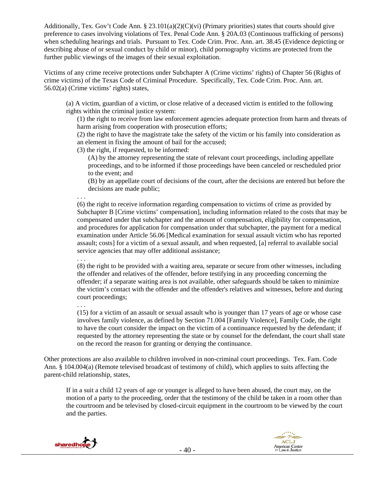Additionally, Tex. Gov't Code Ann. § 23.101(a)(2)(C)(vi) (Primary priorities) states that courts should give preference to cases involving violations of Tex. Penal Code Ann. § 20A.03 (Continuous trafficking of persons) when scheduling hearings and trials. Pursuant to Tex. Code Crim. Proc. Ann. art. 38.45 (Evidence depicting or describing abuse of or sexual conduct by child or minor), child pornography victims are protected from the further public viewings of the images of their sexual exploitation.

Victims of any crime receive protections under Subchapter A (Crime victims' rights) of Chapter 56 (Rights of crime victims) of the Texas Code of Criminal Procedure. Specifically, Tex. Code Crim. Proc. Ann. art. 56.02(a) (Crime victims' rights) states,

(a) A victim, guardian of a victim, or close relative of a deceased victim is entitled to the following rights within the criminal justice system:

(1) the right to receive from law enforcement agencies adequate protection from harm and threats of harm arising from cooperation with prosecution efforts;

(2) the right to have the magistrate take the safety of the victim or his family into consideration as an element in fixing the amount of bail for the accused;

(3) the right, if requested, to be informed:

(A) by the attorney representing the state of relevant court proceedings, including appellate proceedings, and to be informed if those proceedings have been canceled or rescheduled prior to the event; and

(B) by an appellate court of decisions of the court, after the decisions are entered but before the decisions are made public;

(6) the right to receive information regarding compensation to victims of crime as provided by Subchapter B [Crime victims' compensation], including information related to the costs that may be compensated under that subchapter and the amount of compensation, eligibility for compensation, and procedures for application for compensation under that subchapter, the payment for a medical examination under Article 56.06 [Medical examination for sexual assault victim who has reported assault; costs] for a victim of a sexual assault, and when requested, [a] referral to available social service agencies that may offer additional assistance;

(8) the right to be provided with a waiting area, separate or secure from other witnesses, including the offender and relatives of the offender, before testifying in any proceeding concerning the offender; if a separate waiting area is not available, other safeguards should be taken to minimize the victim's contact with the offender and the offender's relatives and witnesses, before and during court proceedings;

. . .

. . .

. . .

(15) for a victim of an assault or sexual assault who is younger than 17 years of age or whose case involves family violence, as defined by Section 71.004 [Family Violence], Family Code, the right to have the court consider the impact on the victim of a continuance requested by the defendant; if requested by the attorney representing the state or by counsel for the defendant, the court shall state on the record the reason for granting or denying the continuance.

Other protections are also available to children involved in non-criminal court proceedings. Tex. Fam. Code Ann. § 104.004(a) (Remote televised broadcast of testimony of child), which applies to suits affecting the parent-child relationship, states,

If in a suit a child 12 years of age or younger is alleged to have been abused, the court may, on the motion of a party to the proceeding, order that the testimony of the child be taken in a room other than the courtroom and be televised by closed-circuit equipment in the courtroom to be viewed by the court and the parties.



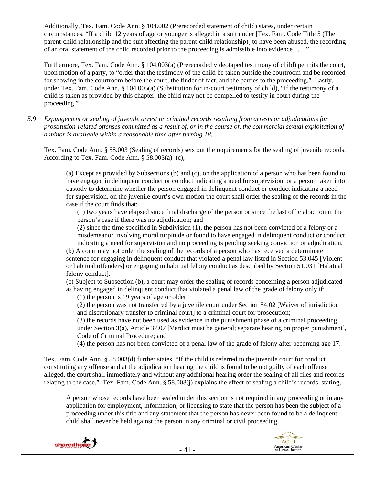Additionally, Tex. Fam. Code Ann. § 104.002 (Prerecorded statement of child) states, under certain circumstances, "If a child 12 years of age or younger is alleged in a suit under [Tex. Fam. Code Title 5 (The parent-child relationship and the suit affecting the parent-child relationship)] to have been abused, the recording of an oral statement of the child recorded prior to the proceeding is admissible into evidence . . . ."

Furthermore, Tex. Fam. Code Ann. § 104.003(a) (Prerecorded videotaped testimony of child) permits the court, upon motion of a party, to "order that the testimony of the child be taken outside the courtroom and be recorded for showing in the courtroom before the court, the finder of fact, and the parties to the proceeding." Lastly, under Tex. Fam. Code Ann. § 104.005(a) (Substitution for in-court testimony of child), "If the testimony of a child is taken as provided by this chapter, the child may not be compelled to testify in court during the proceeding."

*5.9 Expungement or sealing of juvenile arrest or criminal records resulting from arrests or adjudications for prostitution-related offenses committed as a result of, or in the course of, the commercial sexual exploitation of a minor is available within a reasonable time after turning 18.* 

Tex. Fam. Code Ann. § 58.003 (Sealing of records) sets out the requirements for the sealing of juvenile records. According to Tex. Fam. Code Ann. § 58.003(a)–(c),

(a) Except as provided by Subsections (b) and (c), on the application of a person who has been found to have engaged in delinquent conduct or conduct indicating a need for supervision, or a person taken into custody to determine whether the person engaged in delinquent conduct or conduct indicating a need for supervision, on the juvenile court's own motion the court shall order the sealing of the records in the case if the court finds that:

(1) two years have elapsed since final discharge of the person or since the last official action in the person's case if there was no adjudication; and

(2) since the time specified in Subdivision (1), the person has not been convicted of a felony or a misdemeanor involving moral turpitude or found to have engaged in delinquent conduct or conduct indicating a need for supervision and no proceeding is pending seeking conviction or adjudication.

(b) A court may not order the sealing of the records of a person who has received a determinate sentence for engaging in delinquent conduct that violated a penal law listed in Section 53.045 [Violent or habitual offenders] or engaging in habitual felony conduct as described by Section 51.031 [Habitual felony conduct].

(c) Subject to Subsection (b), a court may order the sealing of records concerning a person adjudicated as having engaged in delinquent conduct that violated a penal law of the grade of felony only if:

(1) the person is 19 years of age or older;

(2) the person was not transferred by a juvenile court under Section 54.02 [Waiver of jurisdiction and discretionary transfer to criminal court] to a criminal court for prosecution;

(3) the records have not been used as evidence in the punishment phase of a criminal proceeding under Section 3(a), Article 37.07 [Verdict must be general; separate hearing on proper punishment], Code of Criminal Procedure; and

(4) the person has not been convicted of a penal law of the grade of felony after becoming age 17.

Tex. Fam. Code Ann. § 58.003(d) further states, "If the child is referred to the juvenile court for conduct constituting any offense and at the adjudication hearing the child is found to be not guilty of each offense alleged, the court shall immediately and without any additional hearing order the sealing of all files and records relating to the case." Tex. Fam. Code Ann. § 58.003(j) explains the effect of sealing a child's records, stating,

A person whose records have been sealed under this section is not required in any proceeding or in any application for employment, information, or licensing to state that the person has been the subject of a proceeding under this title and any statement that the person has never been found to be a delinquent child shall never be held against the person in any criminal or civil proceeding.



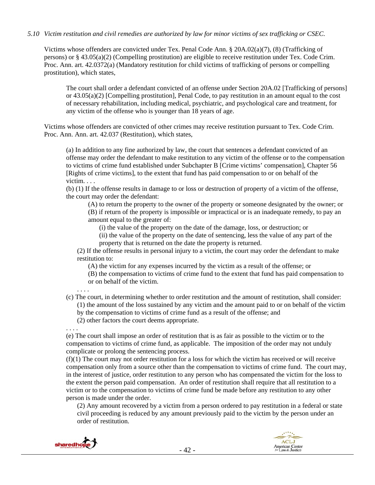## *5.10 Victim restitution and civil remedies are authorized by law for minor victims of sex trafficking or CSEC.*

Victims whose offenders are convicted under Tex. Penal Code Ann. § 20A.02(a)(7), (8) (Trafficking of persons) or § 43.05(a)(2) (Compelling prostitution) are eligible to receive restitution under Tex. Code Crim. Proc. Ann. art. 42.0372(a) (Mandatory restitution for child victims of trafficking of persons or compelling prostitution), which states,

The court shall order a defendant convicted of an offense under Section 20A.02 [Trafficking of persons] or 43.05(a)(2) [Compelling prostitution], Penal Code, to pay restitution in an amount equal to the cost of necessary rehabilitation, including medical, psychiatric, and psychological care and treatment, for any victim of the offense who is younger than 18 years of age.

Victims whose offenders are convicted of other crimes may receive restitution pursuant to Tex. Code Crim. Proc. Ann. Ann. art. 42.037 (Restitution), which states,

(a) In addition to any fine authorized by law, the court that sentences a defendant convicted of an offense may order the defendant to make restitution to any victim of the offense or to the compensation to victims of crime fund established under Subchapter B [Crime victims' compensation], Chapter 56 [Rights of crime victims], to the extent that fund has paid compensation to or on behalf of the victim. . . .

(b) (1) If the offense results in damage to or loss or destruction of property of a victim of the offense, the court may order the defendant:

(A) to return the property to the owner of the property or someone designated by the owner; or (B) if return of the property is impossible or impractical or is an inadequate remedy, to pay an amount equal to the greater of:

(i) the value of the property on the date of the damage, loss, or destruction; or

(ii) the value of the property on the date of sentencing, less the value of any part of the property that is returned on the date the property is returned.

(2) If the offense results in personal injury to a victim, the court may order the defendant to make restitution to:

(A) the victim for any expenses incurred by the victim as a result of the offense; or

(B) the compensation to victims of crime fund to the extent that fund has paid compensation to or on behalf of the victim.

. . . .

(c) The court, in determining whether to order restitution and the amount of restitution, shall consider: (1) the amount of the loss sustained by any victim and the amount paid to or on behalf of the victim by the compensation to victims of crime fund as a result of the offense; and

(2) other factors the court deems appropriate.

. . . .

(e) The court shall impose an order of restitution that is as fair as possible to the victim or to the compensation to victims of crime fund, as applicable. The imposition of the order may not unduly complicate or prolong the sentencing process.

 $(f)(1)$  The court may not order restitution for a loss for which the victim has received or will receive compensation only from a source other than the compensation to victims of crime fund. The court may, in the interest of justice, order restitution to any person who has compensated the victim for the loss to the extent the person paid compensation. An order of restitution shall require that all restitution to a victim or to the compensation to victims of crime fund be made before any restitution to any other person is made under the order.

(2) Any amount recovered by a victim from a person ordered to pay restitution in a federal or state civil proceeding is reduced by any amount previously paid to the victim by the person under an order of restitution.



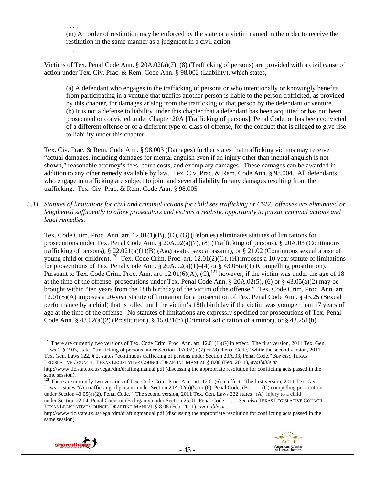. . . . (m) An order of restitution may be enforced by the state or a victim named in the order to receive the restitution in the same manner as a judgment in a civil action.

. . . .

Victims of Tex. Penal Code Ann. § 20A.02(a)(7), (8) (Trafficking of persons) are provided with a civil cause of action under Tex. Civ. Prac. & Rem. Code Ann. § 98.002 (Liability), which states,

(a) A defendant who engages in the trafficking of persons or who intentionally or knowingly benefits from participating in a venture that traffics another person is liable to the person trafficked, as provided by this chapter, for damages arising from the trafficking of that person by the defendant or venture. (b) It is not a defense to liability under this chapter that a defendant has been acquitted or has not been prosecuted or convicted under Chapter 20A [Trafficking of persons], Penal Code, or has been convicted of a different offense or of a different type or class of offense, for the conduct that is alleged to give rise to liability under this chapter.

Tex. Civ. Prac. & Rem. Code Ann. § 98.003 (Damages) further states that trafficking victims may receive "actual damages, including damages for mental anguish even if an injury other than mental anguish is not shown," reasonable attorney's fees, court costs, and exemplary damages. These damages can be awarded in addition to any other remedy available by law. Tex. Civ. Prac. & Rem. Code Ann. § 98.004. All defendants who engage in trafficking are subject to joint and several liability for any damages resulting from the trafficking. Tex. Civ. Prac. & Rem. Code Ann. § 98.005.

*5.11 Statutes of limitations for civil and criminal actions for child sex trafficking or CSEC offenses are eliminated or lengthened sufficiently to allow prosecutors and victims a realistic opportunity to pursue criminal actions and legal remedies.* 

Tex. Code Crim. Proc. Ann. art. 12.01(1)(B), (D), (G)(Felonies) eliminates statutes of limitations for prosecutions under Tex. Penal Code Ann. § 20A.02(a)(7), (8) (Trafficking of persons), § 20A.03 (Continuous trafficking of persons), § 22.021(a)(1)(B) (Aggravated sexual assault), or § 21.02 (Continuous sexual abuse of young child or children).<sup>120</sup> Tex. Code Crim. Proc. art. 12.01(2)(G), (H) imposes a 10 year statute of limitations for prosecutions of Tex. Penal Code Ann. § 20A.02(a)(1)–(4) or § 43.05(a)(1) (Compelling prostitution). Pursuant to Tex. Code Crim. Proc. Ann. art.  $12.01(6)(A)$ ,  $(C)$ ,  $^{121}$  however, if the victim was under the age of 18 at the time of the offense, prosecutions under Tex. Penal Code Ann. § 20A.02(5), (6) or § 43.05(a)(2) may be brought within "ten years from the 18th birthday of the victim of the offense." Tex. Code Crim. Proc. Ann. art. 12.01(5)(A) imposes a 20-year statute of limitation for a prosecution of Tex. Penal Code Ann. § 43.25 (Sexual performance by a child) that is tolled until the victim's 18th birthday if the victim was younger than 17 years of age at the time of the offense. No statutes of limitations are expressly specified for prosecutions of Tex. Penal Code Ann. §  $43.02(a)(2)$  (Prostitution), § 15.031(b) (Criminal solicitation of a minor), or §  $43.251(b)$ 

http://www.tlc.state.tx.us/legal/dm/draftingmanual.pdf (discussing the appropriate resolution for conflicting acts passed in the same session).



<sup>&</sup>lt;sup>120</sup> There are currently two versions of Tex. Code Crim. Proc. Ann. art.  $12.01(1)(G)$  in effect. The first version, 2011 Tex. Gen. Laws 1, § 2.03, states "trafficking of persons under Section 20A.02(a)(7) or (8), Penal Code," while the second version, 2011 Tex. Gen. Laws 122, § 2, states "continuous trafficking of persons under Section 20A.03, Penal Code." *See also* TEXAS LEGISLATIVE COUNCIL, TEXAS LEGISLATIVE COUNCIL DRAFTING MANUAL § 8.08 (Feb. 2011), *available at*  http://www.tlc.state.tx.us/legal/dm/draftingmanual.pdf (discussing the appropriate resolution for conflicting acts passed in the

same session).

<sup>&</sup>lt;sup>121</sup> There are currently two versions of Tex. Code Crim. Proc. Ann. art. 12.01(6) in effect. The first version, 2011 Tex. Gen. Laws 1, states "(A) trafficking of persons under Section 20A.02(a)(5) or (6), Penal Code; (B) . . . ; (C) compelling prostitution under Section 43.05(a)(2), Penal Code." The second version, 2011 Tex. Gen. Laws 222 states "(A) injury to a child under Section 22.04, Penal Code; or (B) bigamy under Section 25.01, Penal Code . . . ." *See also* TEXAS LEGISLATIVE COUNCIL, TEXAS LEGISLATIVE COUNCIL DRAFTING MANUAL § 8.08 (Feb. 2011), *available at*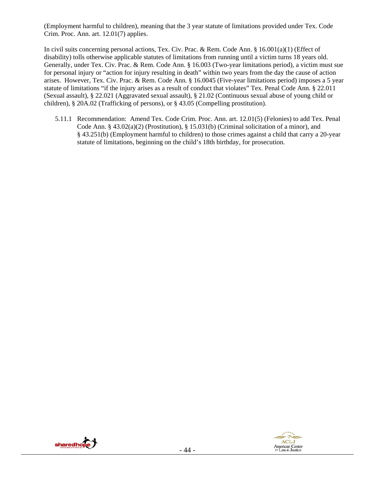(Employment harmful to children), meaning that the 3 year statute of limitations provided under Tex. Code Crim. Proc. Ann. art. 12.01(7) applies.

In civil suits concerning personal actions, Tex. Civ. Prac. & Rem. Code Ann. § 16.001(a)(1) (Effect of disability) tolls otherwise applicable statutes of limitations from running until a victim turns 18 years old. Generally, under Tex. Civ. Prac. & Rem. Code Ann. § 16.003 (Two-year limitations period), a victim must sue for personal injury or "action for injury resulting in death" within two years from the day the cause of action arises. However, Tex. Civ. Prac. & Rem. Code Ann. § 16.0045 (Five-year limitations period) imposes a 5 year statute of limitations "if the injury arises as a result of conduct that violates" Tex. Penal Code Ann. § 22.011 (Sexual assault), § 22.021 (Aggravated sexual assault), § 21.02 (Continuous sexual abuse of young child or children), § 20A.02 (Trafficking of persons), or § 43.05 (Compelling prostitution).

5.11.1 Recommendation: Amend Tex. Code Crim. Proc. Ann. art. 12.01(5) (Felonies) to add Tex. Penal Code Ann. § 43.02(a)(2) (Prostitution), § 15.031(b) (Criminal solicitation of a minor), and § 43.251(b) (Employment harmful to children) to those crimes against a child that carry a 20-year statute of limitations, beginning on the child's 18th birthday, for prosecution.



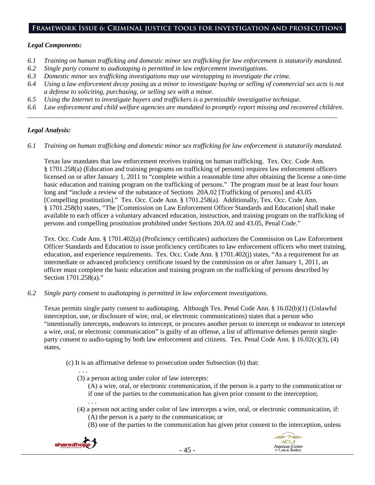## **Framework Issue 6: Criminal justice tools for investigation and prosecutions**

## *Legal Components:*

- *6.1 Training on human trafficking and domestic minor sex trafficking for law enforcement is statutorily mandated.*
- *6.2 Single party consent to audiotaping is permitted in law enforcement investigations.*
- *6.3 Domestic minor sex trafficking investigations may use wiretapping to investigate the crime.*
- *6.4 Using a law enforcement decoy posing as a minor to investigate buying or selling of commercial sex acts is not a defense to soliciting, purchasing, or selling sex with a minor.*
- *6.5 Using the Internet to investigate buyers and traffickers is a permissible investigative technique.*
- *6.6 Law enforcement and child welfare agencies are mandated to promptly report missing and recovered children. \_\_\_\_\_\_\_\_\_\_\_\_\_\_\_\_\_\_\_\_\_\_\_\_\_\_\_\_\_\_\_\_\_\_\_\_\_\_\_\_\_\_\_\_\_\_\_\_\_\_\_\_\_\_\_\_\_\_\_\_\_\_\_\_\_\_\_\_\_\_\_\_\_\_\_\_\_\_\_\_\_\_\_\_\_\_\_\_\_\_\_\_*

## *Legal Analysis:*

*6.1 Training on human trafficking and domestic minor sex trafficking for law enforcement is statutorily mandated.* 

Texas law mandates that law enforcement receives training on human trafficking. Tex. Occ. Code Ann. § 1701.258(a) (Education and training programs on trafficking of persons) requires law enforcement officers licensed on or after January 1, 2011 to "complete within a reasonable time after obtaining the license a one-time basic education and training program on the trafficking of persons." The program must be at least four hours long and "include a review of the substance of Sections 20A.02 [Trafficking of persons] and 43.05 [Compelling prostitution]." Tex. Occ. Code Ann. § 1701.258(a). Additionally, Tex. Occ. Code Ann. § 1701.258(b) states, "The [Commission on Law Enforcement Officer Standards and Education] shall make available to each officer a voluntary advanced education, instruction, and training program on the trafficking of persons and compelling prostitution prohibited under Sections 20A.02 and 43.05, Penal Code."

Tex. Occ. Code Ann. § 1701.402(a) (Proficiency certificates) authorizes the Commission on Law Enforcement Officer Standards and Education to issue proficiency certificates to law enforcement officers who meet training, education, and experience requirements. Tex. Occ. Code Ann. § 1701.402(j) states, "As a requirement for an intermediate or advanced proficiency certificate issued by the commission on or after January 1, 2011, an officer must complete the basic education and training program on the trafficking of persons described by Section 1701.258(a)."

*6.2 Single party consent to audiotaping is permitted in law enforcement investigations.* 

Texas permits single party consent to audiotaping. Although Tex. Penal Code Ann. § 16.02(b)(1) (Unlawful interception, use, or disclosure of wire, oral, or electronic communications) states that a person who "intentionally intercepts, endeavors to intercept, or procures another person to intercept or endeavor to intercept a wire, oral, or electronic communication" is guilty of an offense, a list of affirmative defenses permit singleparty consent to audio-taping by both law enforcement and citizens. Tex. Penal Code Ann. §  $16.02(c)(3)$ , (4) states,

- (c) It is an affirmative defense to prosecution under Subsection (b) that:
	- . . . (3) a person acting under color of law intercepts:

(A) a wire, oral, or electronic communication, if the person is a party to the communication or if one of the parties to the communication has given prior consent to the interception;

- (4) a person not acting under color of law intercepts a wire, oral, or electronic communication, if:
	- (A) the person is a party to the communication; or
	- (B) one of the parties to the communication has given prior consent to the interception, unless



. . .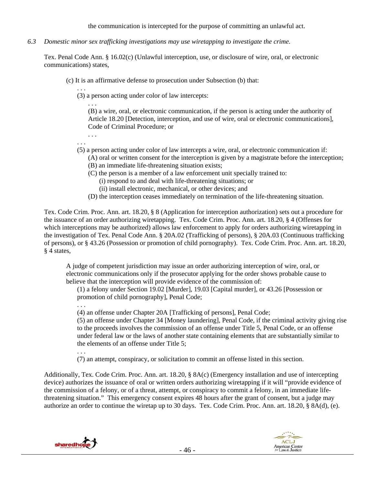the communication is intercepted for the purpose of committing an unlawful act.

*6.3 Domestic minor sex trafficking investigations may use wiretapping to investigate the crime.* 

Tex. Penal Code Ann. § 16.02(c) (Unlawful interception, use, or disclosure of wire, oral, or electronic communications) states,

- (c) It is an affirmative defense to prosecution under Subsection (b) that:
	- . . . (3) a person acting under color of law intercepts:

. . . (B) a wire, oral, or electronic communication, if the person is acting under the authority of Article 18.20 [Detection, interception, and use of wire, oral or electronic communications], Code of Criminal Procedure; or

- . . . . . .
- (5) a person acting under color of law intercepts a wire, oral, or electronic communication if:
	- (A) oral or written consent for the interception is given by a magistrate before the interception; (B) an immediate life-threatening situation exists;
		- (C) the person is a member of a law enforcement unit specially trained to:
			- (i) respond to and deal with life-threatening situations; or
			- (ii) install electronic, mechanical, or other devices; and
	- (D) the interception ceases immediately on termination of the life-threatening situation.

Tex. Code Crim. Proc. Ann. art. 18.20, § 8 (Application for interception authorization) sets out a procedure for the issuance of an order authorizing wiretapping. Tex. Code Crim. Proc. Ann. art. 18.20, § 4 (Offenses for which interceptions may be authorized) allows law enforcement to apply for orders authorizing wiretapping in the investigation of Tex. Penal Code Ann. § 20A.02 (Trafficking of persons), § 20A.03 (Continuous trafficking of persons), or § 43.26 (Possession or promotion of child pornography). Tex. Code Crim. Proc. Ann. art. 18.20, § 4 states,

A judge of competent jurisdiction may issue an order authorizing interception of wire, oral, or electronic communications only if the prosecutor applying for the order shows probable cause to believe that the interception will provide evidence of the commission of:

(1) a felony under Section 19.02 [Murder], 19.03 [Capital murder], or 43.26 [Possession or promotion of child pornography], Penal Code;

. . .

. . .

(4) an offense under Chapter 20A [Trafficking of persons], Penal Code;

(5) an offense under Chapter 34 [Money laundering], Penal Code, if the criminal activity giving rise to the proceeds involves the commission of an offense under Title 5, Penal Code, or an offense under federal law or the laws of another state containing elements that are substantially similar to the elements of an offense under Title 5;

(7) an attempt, conspiracy, or solicitation to commit an offense listed in this section.

Additionally, Tex. Code Crim. Proc. Ann. art. 18.20, § 8A(c) (Emergency installation and use of intercepting device) authorizes the issuance of oral or written orders authorizing wiretapping if it will "provide evidence of the commission of a felony, or of a threat, attempt, or conspiracy to commit a felony, in an immediate lifethreatening situation." This emergency consent expires 48 hours after the grant of consent, but a judge may authorize an order to continue the wiretap up to 30 days. Tex. Code Crim. Proc. Ann. art. 18.20, § 8A(d), (e).



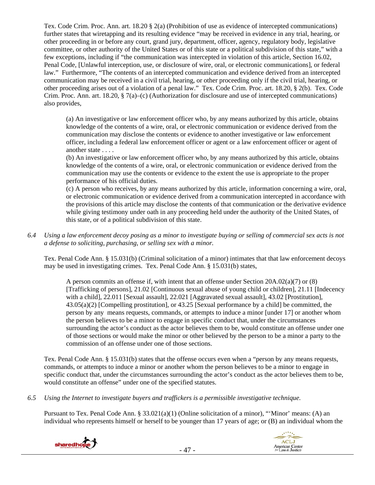Tex. Code Crim. Proc. Ann. art. 18.20 § 2(a) (Prohibition of use as evidence of intercepted communications) further states that wiretapping and its resulting evidence "may be received in evidence in any trial, hearing, or other proceeding in or before any court, grand jury, department, officer, agency, regulatory body, legislative committee, or other authority of the United States or of this state or a political subdivision of this state," with a few exceptions, including if "the communication was intercepted in violation of this article, Section 16.02, Penal Code, [Unlawful interception, use, or disclosure of wire, oral, or electronic communications], or federal law." Furthermore, "The contents of an intercepted communication and evidence derived from an intercepted communication may be received in a civil trial, hearing, or other proceeding only if the civil trial, hearing, or other proceeding arises out of a violation of a penal law." Tex. Code Crim. Proc. art. 18.20, § 2(b). Tex. Code Crim. Proc. Ann. art. 18.20, § 7(a)–(c) (Authorization for disclosure and use of intercepted communications) also provides,

(a) An investigative or law enforcement officer who, by any means authorized by this article, obtains knowledge of the contents of a wire, oral, or electronic communication or evidence derived from the communication may disclose the contents or evidence to another investigative or law enforcement officer, including a federal law enforcement officer or agent or a law enforcement officer or agent of another state . . . .

(b) An investigative or law enforcement officer who, by any means authorized by this article, obtains knowledge of the contents of a wire, oral, or electronic communication or evidence derived from the communication may use the contents or evidence to the extent the use is appropriate to the proper performance of his official duties.

(c) A person who receives, by any means authorized by this article, information concerning a wire, oral, or electronic communication or evidence derived from a communication intercepted in accordance with the provisions of this article may disclose the contents of that communication or the derivative evidence while giving testimony under oath in any proceeding held under the authority of the United States, of this state, or of a political subdivision of this state.

*6.4 Using a law enforcement decoy posing as a minor to investigate buying or selling of commercial sex acts is not a defense to soliciting, purchasing, or selling sex with a minor.* 

Tex. Penal Code Ann. § 15.031(b) (Criminal solicitation of a minor) intimates that that law enforcement decoys may be used in investigating crimes. Tex. Penal Code Ann. § 15.031(b) states,

A person commits an offense if, with intent that an offense under Section 20A.02(a)(7) or (8) [Trafficking of persons], 21.02 [Continuous sexual abuse of young child or children], 21.11 [Indecency with a child], 22.011 [Sexual assault], 22.021 [Aggravated sexual assault], 43.02 [Prostitution], 43.05(a)(2) [Compelling prostitution], or 43.25 [Sexual performance by a child] be committed, the person by any means requests, commands, or attempts to induce a minor [under 17] or another whom the person believes to be a minor to engage in specific conduct that, under the circumstances surrounding the actor's conduct as the actor believes them to be, would constitute an offense under one of those sections or would make the minor or other believed by the person to be a minor a party to the commission of an offense under one of those sections.

Tex. Penal Code Ann. § 15.031(b) states that the offense occurs even when a "person by any means requests, commands, or attempts to induce a minor or another whom the person believes to be a minor to engage in specific conduct that, under the circumstances surrounding the actor's conduct as the actor believes them to be, would constitute an offense" under one of the specified statutes.

*6.5 Using the Internet to investigate buyers and traffickers is a permissible investigative technique.* 

Pursuant to Tex. Penal Code Ann. § 33.021(a)(1) (Online solicitation of a minor), "'Minor' means: (A) an individual who represents himself or herself to be younger than 17 years of age; or (B) an individual whom the



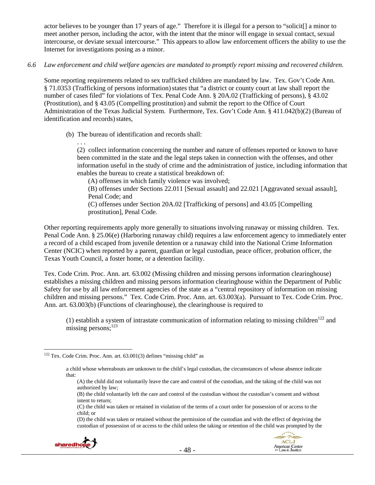actor believes to be younger than 17 years of age." Therefore it is illegal for a person to "solicit[] a minor to meet another person, including the actor, with the intent that the minor will engage in sexual contact, sexual intercourse, or deviate sexual intercourse." This appears to allow law enforcement officers the ability to use the Internet for investigations posing as a minor.

## *6.6 Law enforcement and child welfare agencies are mandated to promptly report missing and recovered children.*

Some reporting requirements related to sex trafficked children are mandated by law. Tex. Gov't Code Ann. § 71.0353 (Trafficking of persons information)states that "a district or county court at law shall report the number of cases filed" for violations of Tex. Penal Code Ann. § 20A.02 (Trafficking of persons), § 43.02 (Prostitution), and § 43.05 (Compelling prostitution) and submit the report to the Office of Court Administration of the Texas Judicial System. Furthermore, Tex. Gov't Code Ann. § 411.042(b)(2) (Bureau of identification and records) states,

(b) The bureau of identification and records shall:

prostitution], Penal Code.

. . .

(2) collect information concerning the number and nature of offenses reported or known to have been committed in the state and the legal steps taken in connection with the offenses, and other information useful in the study of crime and the administration of justice, including information that enables the bureau to create a statistical breakdown of:

(A) offenses in which family violence was involved; (B) offenses under Sections 22.011 [Sexual assault] and 22.021 [Aggravated sexual assault], Penal Code; and (C) offenses under Section 20A.02 [Trafficking of persons] and 43.05 [Compelling

Other reporting requirements apply more generally to situations involving runaway or missing children. Tex. Penal Code Ann. § 25.06(e) (Harboring runaway child) requires a law enforcement agency to immediately enter a record of a child escaped from juvenile detention or a runaway child into the National Crime Information Center (NCIC) when reported by a parent, guardian or legal custodian, peace officer, probation officer, the Texas Youth Council, a foster home, or a detention facility.

Tex. Code Crim. Proc. Ann. art. 63.002 (Missing children and missing persons information clearinghouse) establishes a missing children and missing persons information clearinghouse within the Department of Public Safety for use by all law enforcement agencies of the state as a "central repository of information on missing children and missing persons." Tex. Code Crim. Proc. Ann. art. 63.003(a). Pursuant to Tex. Code Crim. Proc. Ann. art. 63.003(b) (Functions of clearinghouse), the clearinghouse is required to

(1) establish a system of intrastate communication of information relating to missing children<sup>122</sup> and missing persons; $^{123}$ 

<sup>(</sup>D) the child was taken or retained without the permission of the custodian and with the effect of depriving the custodian of possession of or access to the child unless the taking or retention of the child was prompted by the



 $\overline{a}$ <sup>122</sup> Tex. Code Crim. Proc. Ann. art. 63.001(3) defines "missing child" as

a child whose whereabouts are unknown to the child's legal custodian, the circumstances of whose absence indicate that:

<sup>(</sup>A) the child did not voluntarily leave the care and control of the custodian, and the taking of the child was not authorized by law;

<sup>(</sup>B) the child voluntarily left the care and control of the custodian without the custodian's consent and without intent to return;

<sup>(</sup>C) the child was taken or retained in violation of the terms of a court order for possession of or access to the child; or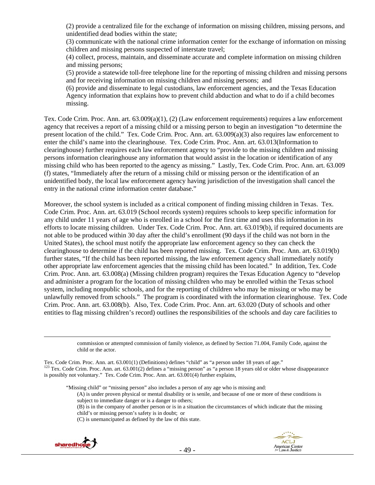(2) provide a centralized file for the exchange of information on missing children, missing persons, and unidentified dead bodies within the state;

(3) communicate with the national crime information center for the exchange of information on missing children and missing persons suspected of interstate travel;

(4) collect, process, maintain, and disseminate accurate and complete information on missing children and missing persons;

(5) provide a statewide toll-free telephone line for the reporting of missing children and missing persons and for receiving information on missing children and missing persons; and

(6) provide and disseminate to legal custodians, law enforcement agencies, and the Texas Education Agency information that explains how to prevent child abduction and what to do if a child becomes missing.

Tex. Code Crim. Proc. Ann. art. 63.009(a)(1), (2) (Law enforcement requirements) requires a law enforcement agency that receives a report of a missing child or a missing person to begin an investigation "to determine the present location of the child." Tex. Code Crim. Proc. Ann. art. 63.009(a)(3) also requires law enforcement to enter the child's name into the clearinghouse. Tex. Code Crim. Proc. Ann. art. 63.013(Information to clearinghouse) further requires each law enforcement agency to "provide to the missing children and missing persons information clearinghouse any information that would assist in the location or identification of any missing child who has been reported to the agency as missing." Lastly, Tex. Code Crim. Proc. Ann. art. 63.009 (f) states, "Immediately after the return of a missing child or missing person or the identification of an unidentified body, the local law enforcement agency having jurisdiction of the investigation shall cancel the entry in the national crime information center database."

Moreover, the school system is included as a critical component of finding missing children in Texas. Tex. Code Crim. Proc. Ann. art. 63.019 (School records system) requires schools to keep specific information for any child under 11 years of age who is enrolled in a school for the first time and uses this information in its efforts to locate missing children. Under Tex. Code Crim. Proc. Ann. art. 63.019(b), if required documents are not able to be produced within 30 day after the child's enrollment (90 days if the child was not born in the United States), the school must notify the appropriate law enforcement agency so they can check the clearinghouse to determine if the child has been reported missing. Tex. Code Crim. Proc. Ann. art. 63.019(b) further states, "If the child has been reported missing, the law enforcement agency shall immediately notify other appropriate law enforcement agencies that the missing child has been located." In addition, Tex. Code Crim. Proc. Ann. art. 63.008(a) (Missing children program) requires the Texas Education Agency to "develop and administer a program for the location of missing children who may be enrolled within the Texas school system, including nonpublic schools, and for the reporting of children who may be missing or who may be unlawfully removed from schools." The program is coordinated with the information clearinghouse. Tex. Code Crim. Proc. Ann. art. 63.008(b). Also, Tex. Code Crim. Proc. Ann. art. 63.020 (Duty of schools and other entities to flag missing children's record) outlines the responsibilities of the schools and day care facilities to

> commission or attempted commission of family violence, as defined by Section 71.004, Family Code, against the child or the actor.

- (A) is under proven physical or mental disability or is senile, and because of one or more of these conditions is subject to immediate danger or is a danger to others;
- (B) is in the company of another person or is in a situation the circumstances of which indicate that the missing child's or missing person's safety is in doubt; or
- (C) is unemancipated as defined by the law of this state.



Tex. Code Crim. Proc. Ann. art. 63.001(1) (Definitions) defines "child" as "a person under 18 years of age."<br><sup>123</sup> Tex. Code Crim. Proc. Ann. art. 63.001(2) defines a "missing person" as "a person 18 years old or older who is possibly not voluntary." Tex. Code Crim. Proc. Ann. art. 63.001(4) further explains,

<sup>&</sup>quot;Missing child" or "missing person" also includes a person of any age who is missing and: